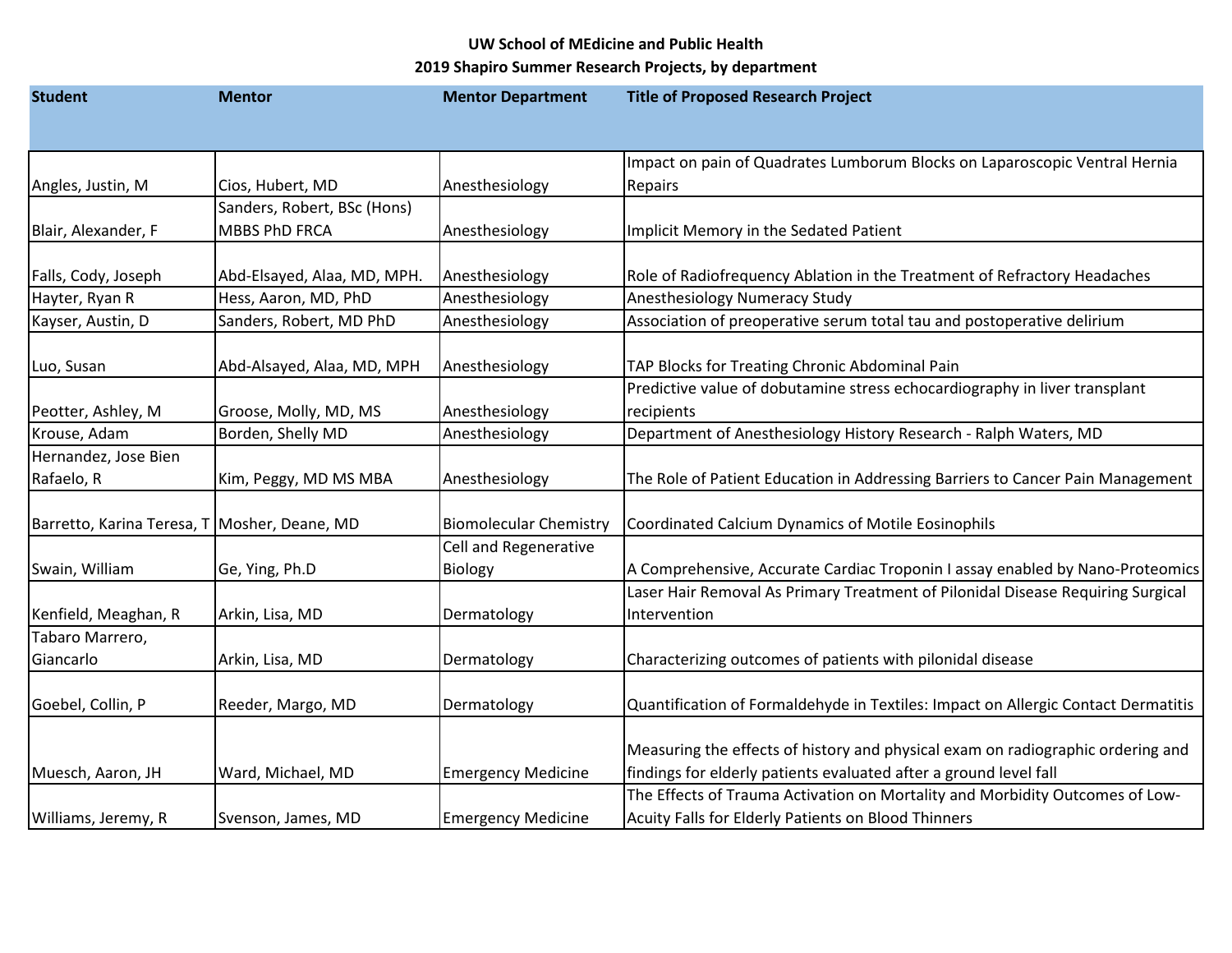| <b>Student</b><br><b>Mentor</b>              |                             | <b>Mentor Department</b>         | <b>Title of Proposed Research Project</b>                                         |  |
|----------------------------------------------|-----------------------------|----------------------------------|-----------------------------------------------------------------------------------|--|
|                                              |                             |                                  |                                                                                   |  |
|                                              |                             |                                  | Impact on pain of Quadrates Lumborum Blocks on Laparoscopic Ventral Hernia        |  |
| Angles, Justin, M                            | Cios, Hubert, MD            | Anesthesiology                   | Repairs                                                                           |  |
|                                              | Sanders, Robert, BSc (Hons) |                                  |                                                                                   |  |
| Blair, Alexander, F                          | <b>MBBS PhD FRCA</b>        | Anesthesiology                   | Implicit Memory in the Sedated Patient                                            |  |
|                                              |                             |                                  |                                                                                   |  |
| Falls, Cody, Joseph                          | Abd-Elsayed, Alaa, MD, MPH. | Anesthesiology                   | Role of Radiofrequency Ablation in the Treatment of Refractory Headaches          |  |
| Hayter, Ryan R                               | Hess, Aaron, MD, PhD        | Anesthesiology                   | Anesthesiology Numeracy Study                                                     |  |
| Kayser, Austin, D                            | Sanders, Robert, MD PhD     | Anesthesiology                   | Association of preoperative serum total tau and postoperative delirium            |  |
| Luo, Susan                                   | Abd-Alsayed, Alaa, MD, MPH  | Anesthesiology                   | TAP Blocks for Treating Chronic Abdominal Pain                                    |  |
|                                              |                             |                                  | Predictive value of dobutamine stress echocardiography in liver transplant        |  |
| Peotter, Ashley, M                           | Groose, Molly, MD, MS       | Anesthesiology                   | recipients                                                                        |  |
| Krouse, Adam                                 | Borden, Shelly MD           | Anesthesiology                   | Department of Anesthesiology History Research - Ralph Waters, MD                  |  |
| Hernandez, Jose Bien                         |                             |                                  |                                                                                   |  |
| Rafaelo, R                                   | Kim, Peggy, MD MS MBA       | Anesthesiology                   | The Role of Patient Education in Addressing Barriers to Cancer Pain Management    |  |
|                                              |                             |                                  |                                                                                   |  |
| Barretto, Karina Teresa, T Mosher, Deane, MD |                             | <b>Biomolecular Chemistry</b>    | <b>Coordinated Calcium Dynamics of Motile Eosinophils</b>                         |  |
| Swain, William                               | Ge, Ying, Ph.D              | Cell and Regenerative<br>Biology | A Comprehensive, Accurate Cardiac Troponin I assay enabled by Nano-Proteomics     |  |
|                                              |                             |                                  | Laser Hair Removal As Primary Treatment of Pilonidal Disease Requiring Surgical   |  |
| Kenfield, Meaghan, R                         | Arkin, Lisa, MD             | Dermatology                      | Intervention                                                                      |  |
| Tabaro Marrero,                              |                             |                                  |                                                                                   |  |
| Giancarlo                                    | Arkin, Lisa, MD             | Dermatology                      | Characterizing outcomes of patients with pilonidal disease                        |  |
|                                              |                             |                                  |                                                                                   |  |
| Goebel, Collin, P                            | Reeder, Margo, MD           | Dermatology                      | Quantification of Formaldehyde in Textiles: Impact on Allergic Contact Dermatitis |  |
|                                              |                             |                                  |                                                                                   |  |
|                                              |                             |                                  | Measuring the effects of history and physical exam on radiographic ordering and   |  |
| Muesch, Aaron, JH                            | Ward, Michael, MD           | <b>Emergency Medicine</b>        | findings for elderly patients evaluated after a ground level fall                 |  |
|                                              |                             |                                  | The Effects of Trauma Activation on Mortality and Morbidity Outcomes of Low-      |  |
| Williams, Jeremy, R                          | Svenson, James, MD          | <b>Emergency Medicine</b>        | Acuity Falls for Elderly Patients on Blood Thinners                               |  |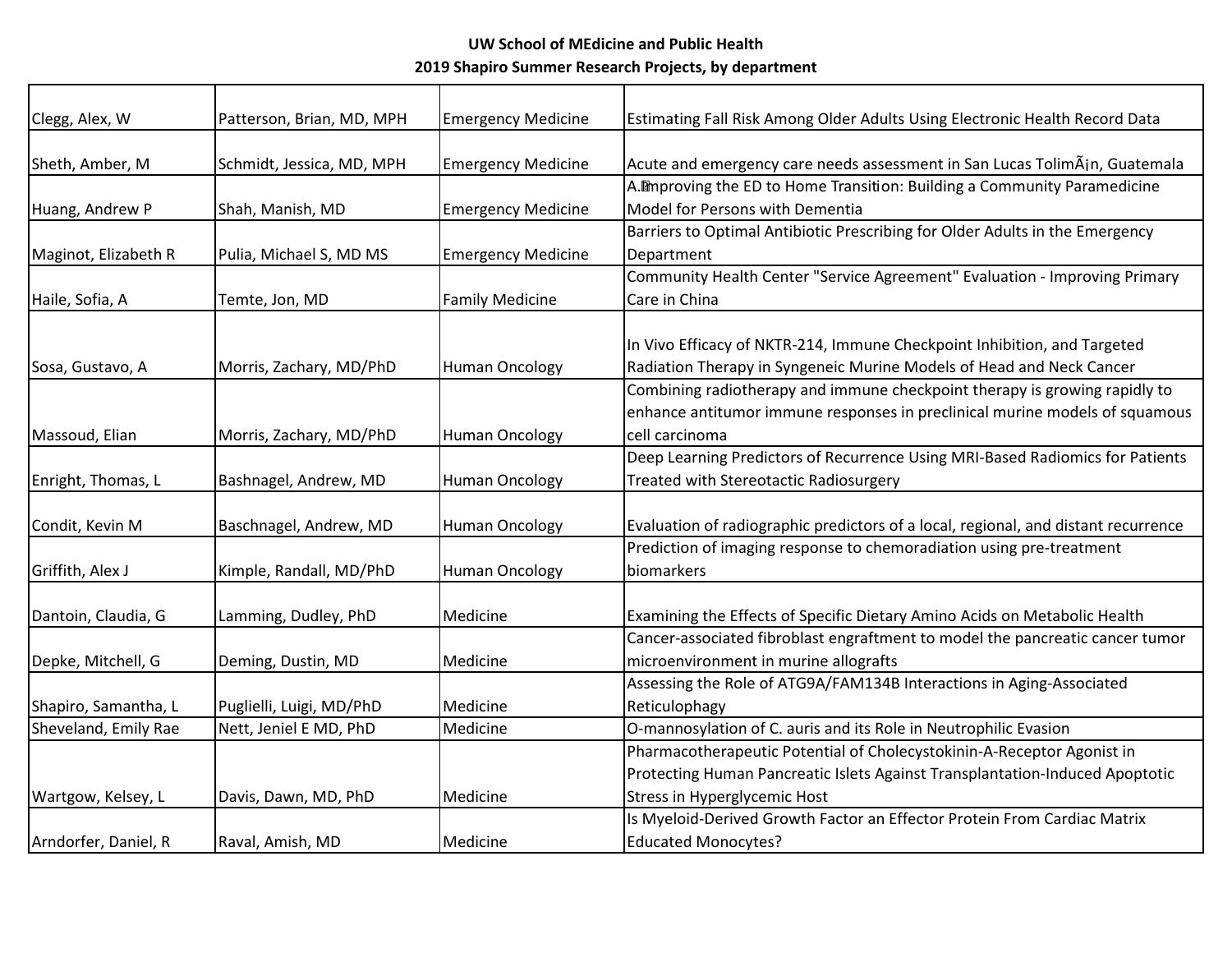| Clegg, Alex, W       | Patterson, Brian, MD, MPH | <b>Emergency Medicine</b> | Estimating Fall Risk Among Older Adults Using Electronic Health Record Data        |
|----------------------|---------------------------|---------------------------|------------------------------------------------------------------------------------|
|                      |                           |                           |                                                                                    |
| Sheth, Amber, M      | Schmidt, Jessica, MD, MPH | <b>Emergency Medicine</b> | Acute and emergency care needs assessment in San Lucas TolimAin, Guatemala         |
|                      |                           |                           | A. Improving the ED to Home Transition: Building a Community Paramedicine          |
| Huang, Andrew P      | Shah, Manish, MD          | <b>Emergency Medicine</b> | Model for Persons with Dementia                                                    |
|                      |                           |                           | Barriers to Optimal Antibiotic Prescribing for Older Adults in the Emergency       |
| Maginot, Elizabeth R | Pulia, Michael S, MD MS   | <b>Emergency Medicine</b> | Department                                                                         |
|                      |                           |                           | Community Health Center "Service Agreement" Evaluation - Improving Primary         |
| Haile, Sofia, A      | Temte, Jon, MD            | <b>Family Medicine</b>    | Care in China                                                                      |
|                      |                           |                           | In Vivo Efficacy of NKTR-214, Immune Checkpoint Inhibition, and Targeted           |
| Sosa, Gustavo, A     | Morris, Zachary, MD/PhD   | <b>Human Oncology</b>     | Radiation Therapy in Syngeneic Murine Models of Head and Neck Cancer               |
|                      |                           |                           | Combining radiotherapy and immune checkpoint therapy is growing rapidly to         |
|                      |                           |                           | enhance antitumor immune responses in preclinical murine models of squamous        |
| Massoud, Elian       | Morris, Zachary, MD/PhD   | <b>Human Oncology</b>     | cell carcinoma                                                                     |
|                      |                           |                           | Deep Learning Predictors of Recurrence Using MRI-Based Radiomics for Patients      |
| Enright, Thomas, L   | Bashnagel, Andrew, MD     | Human Oncology            | Treated with Stereotactic Radiosurgery                                             |
|                      |                           |                           |                                                                                    |
| Condit, Kevin M      | Baschnagel, Andrew, MD    | Human Oncology            | Evaluation of radiographic predictors of a local, regional, and distant recurrence |
|                      |                           |                           | Prediction of imaging response to chemoradiation using pre-treatment               |
| Griffith, Alex J     | Kimple, Randall, MD/PhD   | <b>Human Oncology</b>     | biomarkers                                                                         |
|                      |                           |                           |                                                                                    |
| Dantoin, Claudia, G  | Lamming, Dudley, PhD      | Medicine                  | Examining the Effects of Specific Dietary Amino Acids on Metabolic Health          |
|                      |                           |                           | Cancer-associated fibroblast engraftment to model the pancreatic cancer tumor      |
| Depke, Mitchell, G   | Deming, Dustin, MD        | Medicine                  | microenvironment in murine allografts                                              |
|                      |                           |                           | Assessing the Role of ATG9A/FAM134B Interactions in Aging-Associated               |
| Shapiro, Samantha, L | Puglielli, Luigi, MD/PhD  | Medicine                  | Reticulophagy                                                                      |
| Sheveland, Emily Rae | Nett, Jeniel E MD, PhD    | Medicine                  | O-mannosylation of C. auris and its Role in Neutrophilic Evasion                   |
|                      |                           |                           | Pharmacotherapeutic Potential of Cholecystokinin-A-Receptor Agonist in             |
|                      |                           |                           | Protecting Human Pancreatic Islets Against Transplantation-Induced Apoptotic       |
| Wartgow, Kelsey, L   | Davis, Dawn, MD, PhD      | Medicine                  | Stress in Hyperglycemic Host                                                       |
|                      |                           |                           | Is Myeloid-Derived Growth Factor an Effector Protein From Cardiac Matrix           |
| Arndorfer, Daniel, R | Raval, Amish, MD          | Medicine                  | <b>Educated Monocytes?</b>                                                         |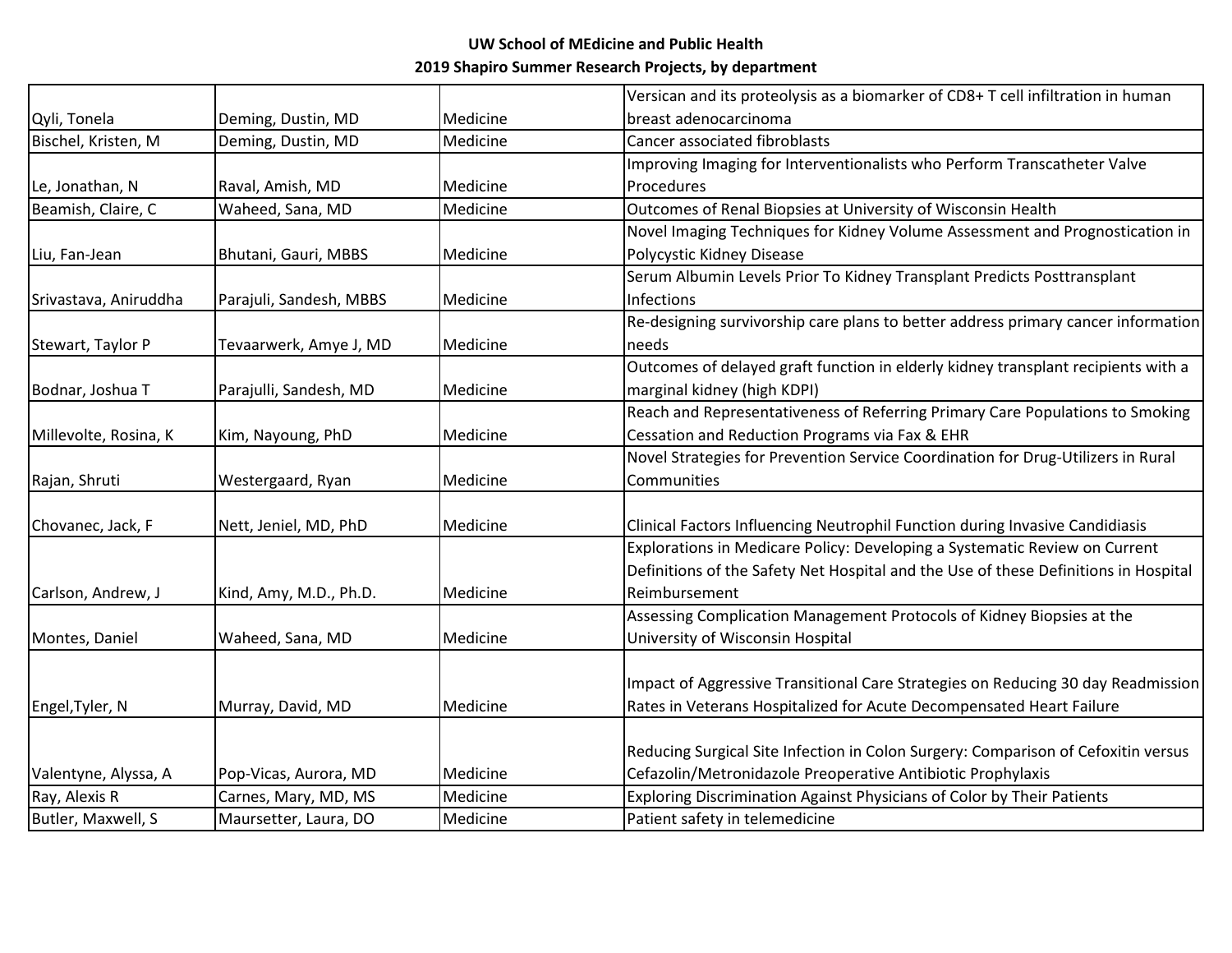|                       |                         |          | Versican and its proteolysis as a biomarker of CD8+ T cell infiltration in human    |
|-----------------------|-------------------------|----------|-------------------------------------------------------------------------------------|
| Qyli, Tonela          | Deming, Dustin, MD      | Medicine | breast adenocarcinoma                                                               |
| Bischel, Kristen, M   | Deming, Dustin, MD      | Medicine | Cancer associated fibroblasts                                                       |
|                       |                         |          | Improving Imaging for Interventionalists who Perform Transcatheter Valve            |
| Le, Jonathan, N       | Raval, Amish, MD        | Medicine | Procedures                                                                          |
| Beamish, Claire, C    | Waheed, Sana, MD        | Medicine | Outcomes of Renal Biopsies at University of Wisconsin Health                        |
|                       |                         |          | Novel Imaging Techniques for Kidney Volume Assessment and Prognostication in        |
| Liu, Fan-Jean         | Bhutani, Gauri, MBBS    | Medicine | Polycystic Kidney Disease                                                           |
|                       |                         |          | Serum Albumin Levels Prior To Kidney Transplant Predicts Posttransplant             |
| Srivastava, Aniruddha | Parajuli, Sandesh, MBBS | Medicine | Infections                                                                          |
|                       |                         |          | Re-designing survivorship care plans to better address primary cancer information   |
| Stewart, Taylor P     | Tevaarwerk, Amye J, MD  | Medicine | needs                                                                               |
|                       |                         |          | Outcomes of delayed graft function in elderly kidney transplant recipients with a   |
| Bodnar, Joshua T      | Parajulli, Sandesh, MD  | Medicine | marginal kidney (high KDPI)                                                         |
|                       |                         |          | Reach and Representativeness of Referring Primary Care Populations to Smoking       |
| Millevolte, Rosina, K | Kim, Nayoung, PhD       | Medicine | Cessation and Reduction Programs via Fax & EHR                                      |
|                       |                         |          | Novel Strategies for Prevention Service Coordination for Drug-Utilizers in Rural    |
| Rajan, Shruti         | Westergaard, Ryan       | Medicine | Communities                                                                         |
|                       |                         |          |                                                                                     |
| Chovanec, Jack, F     | Nett, Jeniel, MD, PhD   | Medicine | Clinical Factors Influencing Neutrophil Function during Invasive Candidiasis        |
|                       |                         |          | Explorations in Medicare Policy: Developing a Systematic Review on Current          |
|                       |                         |          | Definitions of the Safety Net Hospital and the Use of these Definitions in Hospital |
| Carlson, Andrew, J    | Kind, Amy, M.D., Ph.D.  | Medicine | Reimbursement                                                                       |
|                       |                         |          | Assessing Complication Management Protocols of Kidney Biopsies at the               |
| Montes, Daniel        | Waheed, Sana, MD        | Medicine | University of Wisconsin Hospital                                                    |
|                       |                         |          |                                                                                     |
|                       |                         |          | Impact of Aggressive Transitional Care Strategies on Reducing 30 day Readmission    |
| Engel, Tyler, N       | Murray, David, MD       | Medicine | Rates in Veterans Hospitalized for Acute Decompensated Heart Failure                |
|                       |                         |          |                                                                                     |
|                       |                         |          | Reducing Surgical Site Infection in Colon Surgery: Comparison of Cefoxitin versus   |
| Valentyne, Alyssa, A  | Pop-Vicas, Aurora, MD   | Medicine | Cefazolin/Metronidazole Preoperative Antibiotic Prophylaxis                         |
| Ray, Alexis R         | Carnes, Mary, MD, MS    | Medicine | Exploring Discrimination Against Physicians of Color by Their Patients              |
| Butler, Maxwell, S    | Maursetter, Laura, DO   | Medicine | Patient safety in telemedicine                                                      |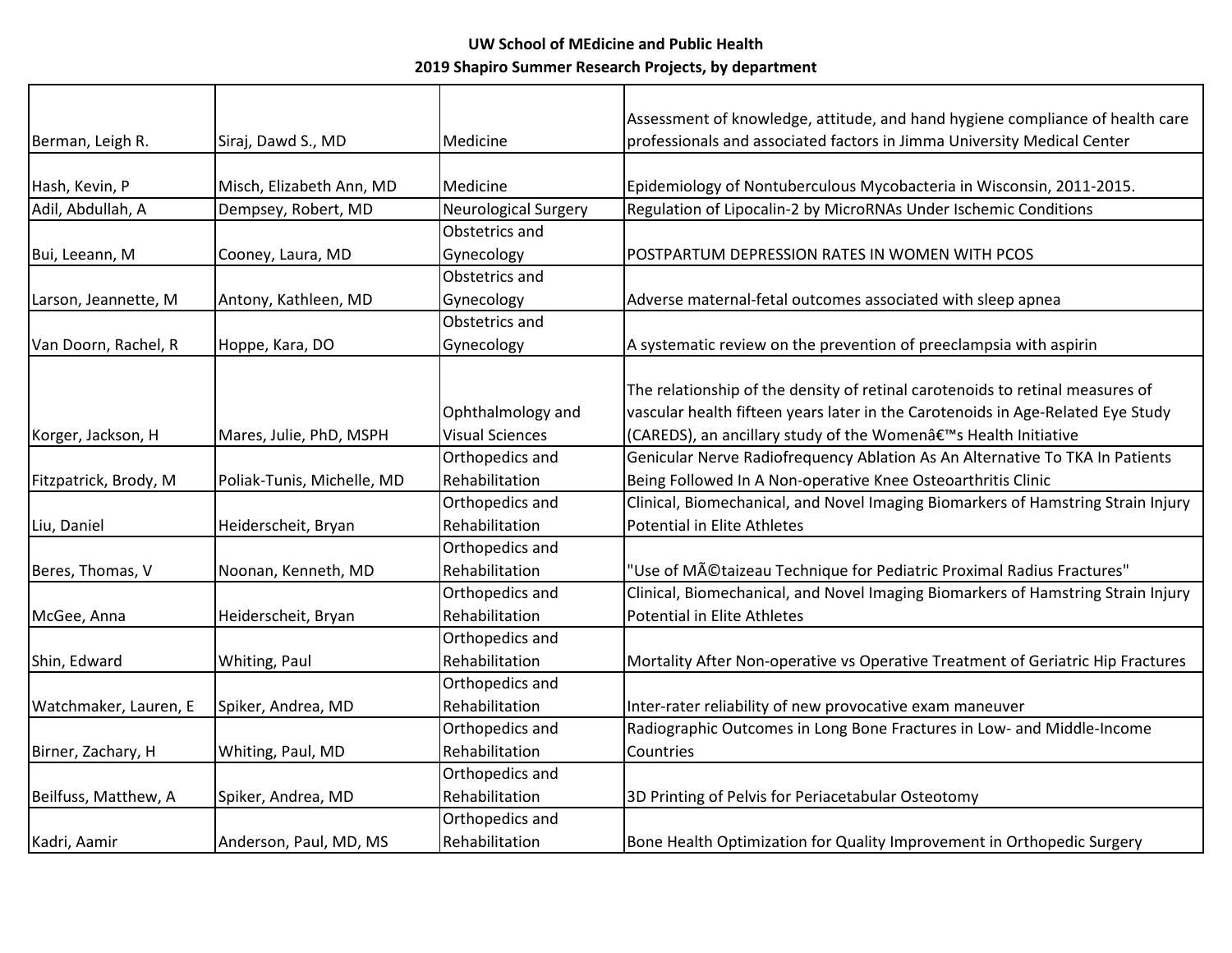$\mathbf{\tau}$ 

 $\top$ 

|                       |                            |                             | Assessment of knowledge, attitude, and hand hygiene compliance of health care    |
|-----------------------|----------------------------|-----------------------------|----------------------------------------------------------------------------------|
| Berman, Leigh R.      | Siraj, Dawd S., MD         | Medicine                    | professionals and associated factors in Jimma University Medical Center          |
|                       |                            |                             |                                                                                  |
| Hash, Kevin, P        | Misch, Elizabeth Ann, MD   | Medicine                    | Epidemiology of Nontuberculous Mycobacteria in Wisconsin, 2011-2015.             |
| Adil, Abdullah, A     | Dempsey, Robert, MD        | <b>Neurological Surgery</b> | Regulation of Lipocalin-2 by MicroRNAs Under Ischemic Conditions                 |
|                       |                            | Obstetrics and              |                                                                                  |
| Bui, Leeann, M        | Cooney, Laura, MD          | Gynecology                  | POSTPARTUM DEPRESSION RATES IN WOMEN WITH PCOS                                   |
|                       |                            | Obstetrics and              |                                                                                  |
| Larson, Jeannette, M  | Antony, Kathleen, MD       | Gynecology                  | Adverse maternal-fetal outcomes associated with sleep apnea                      |
|                       |                            | Obstetrics and              |                                                                                  |
| Van Doorn, Rachel, R  | Hoppe, Kara, DO            | Gynecology                  | A systematic review on the prevention of preeclampsia with aspirin               |
|                       |                            |                             |                                                                                  |
|                       |                            |                             | The relationship of the density of retinal carotenoids to retinal measures of    |
|                       |                            | Ophthalmology and           | vascular health fifteen years later in the Carotenoids in Age-Related Eye Study  |
| Korger, Jackson, H    | Mares, Julie, PhD, MSPH    | <b>Visual Sciences</b>      | (CAREDS), an ancillary study of the Women's Health Initiative                    |
|                       |                            | Orthopedics and             | Genicular Nerve Radiofrequency Ablation As An Alternative To TKA In Patients     |
| Fitzpatrick, Brody, M | Poliak-Tunis, Michelle, MD | Rehabilitation              | Being Followed In A Non-operative Knee Osteoarthritis Clinic                     |
|                       |                            | Orthopedics and             | Clinical, Biomechanical, and Novel Imaging Biomarkers of Hamstring Strain Injury |
| Liu, Daniel           | Heiderscheit, Bryan        | Rehabilitation              | Potential in Elite Athletes                                                      |
|                       |                            | Orthopedics and             |                                                                                  |
| Beres, Thomas, V      | Noonan, Kenneth, MD        | Rehabilitation              | "Use of Métaizeau Technique for Pediatric Proximal Radius Fractures"             |
|                       |                            | Orthopedics and             | Clinical, Biomechanical, and Novel Imaging Biomarkers of Hamstring Strain Injury |
| McGee, Anna           | Heiderscheit, Bryan        | Rehabilitation              | Potential in Elite Athletes                                                      |
|                       |                            | Orthopedics and             |                                                                                  |
| Shin, Edward          | Whiting, Paul              | Rehabilitation              | Mortality After Non-operative vs Operative Treatment of Geriatric Hip Fractures  |
|                       |                            | Orthopedics and             |                                                                                  |
| Watchmaker, Lauren, E | Spiker, Andrea, MD         | Rehabilitation              | Inter-rater reliability of new provocative exam maneuver                         |
|                       |                            | Orthopedics and             | Radiographic Outcomes in Long Bone Fractures in Low- and Middle-Income           |
| Birner, Zachary, H    | Whiting, Paul, MD          | Rehabilitation              | Countries                                                                        |
|                       |                            | Orthopedics and             |                                                                                  |
| Beilfuss, Matthew, A  | Spiker, Andrea, MD         | Rehabilitation              | 3D Printing of Pelvis for Periacetabular Osteotomy                               |
|                       |                            | Orthopedics and             |                                                                                  |
| Kadri, Aamir          | Anderson, Paul, MD, MS     | Rehabilitation              | Bone Health Optimization for Quality Improvement in Orthopedic Surgery           |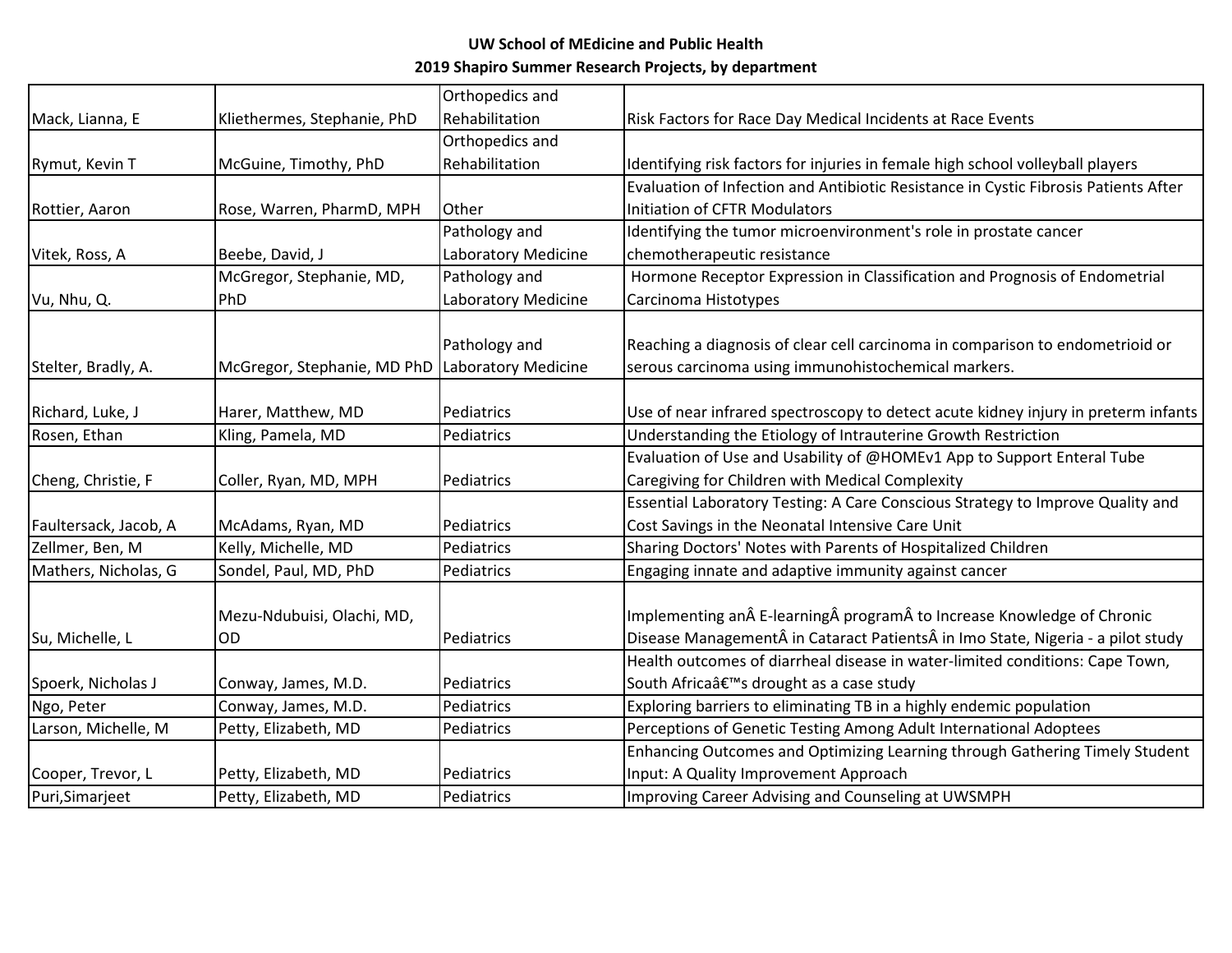|                       |                                                   | Orthopedics and     |                                                                                     |
|-----------------------|---------------------------------------------------|---------------------|-------------------------------------------------------------------------------------|
| Mack, Lianna, E       | Kliethermes, Stephanie, PhD                       | Rehabilitation      | Risk Factors for Race Day Medical Incidents at Race Events                          |
|                       |                                                   | Orthopedics and     |                                                                                     |
| Rymut, Kevin T        | McGuine, Timothy, PhD                             | Rehabilitation      | Identifying risk factors for injuries in female high school volleyball players      |
|                       |                                                   |                     | Evaluation of Infection and Antibiotic Resistance in Cystic Fibrosis Patients After |
| Rottier, Aaron        | Rose, Warren, PharmD, MPH                         | Other               | Initiation of CFTR Modulators                                                       |
|                       |                                                   | Pathology and       | Identifying the tumor microenvironment's role in prostate cancer                    |
| Vitek, Ross, A        | Beebe, David, J                                   | Laboratory Medicine | chemotherapeutic resistance                                                         |
|                       | McGregor, Stephanie, MD,                          | Pathology and       | Hormone Receptor Expression in Classification and Prognosis of Endometrial          |
| Vu, Nhu, Q.           | PhD                                               | Laboratory Medicine | Carcinoma Histotypes                                                                |
|                       |                                                   |                     |                                                                                     |
|                       |                                                   | Pathology and       | Reaching a diagnosis of clear cell carcinoma in comparison to endometrioid or       |
| Stelter, Bradly, A.   | McGregor, Stephanie, MD PhD   Laboratory Medicine |                     | serous carcinoma using immunohistochemical markers.                                 |
|                       |                                                   |                     |                                                                                     |
| Richard, Luke, J      | Harer, Matthew, MD                                | Pediatrics          | Use of near infrared spectroscopy to detect acute kidney injury in preterm infants  |
| Rosen, Ethan          | Kling, Pamela, MD                                 | Pediatrics          | Understanding the Etiology of Intrauterine Growth Restriction                       |
|                       |                                                   |                     | Evaluation of Use and Usability of @HOMEv1 App to Support Enteral Tube              |
| Cheng, Christie, F    | Coller, Ryan, MD, MPH                             | Pediatrics          | Caregiving for Children with Medical Complexity                                     |
|                       |                                                   |                     | Essential Laboratory Testing: A Care Conscious Strategy to Improve Quality and      |
| Faultersack, Jacob, A | McAdams, Ryan, MD                                 | Pediatrics          | Cost Savings in the Neonatal Intensive Care Unit                                    |
| Zellmer, Ben, M       | Kelly, Michelle, MD                               | Pediatrics          | Sharing Doctors' Notes with Parents of Hospitalized Children                        |
| Mathers, Nicholas, G  | Sondel, Paul, MD, PhD                             | Pediatrics          | Engaging innate and adaptive immunity against cancer                                |
|                       |                                                   |                     |                                                                                     |
|                       | Mezu-Ndubuisi, Olachi, MD,                        |                     | Implementing an E-learning program to Increase Knowledge of Chronic                 |
| Su, Michelle, L       | OD                                                | Pediatrics          | Disease Management in Cataract Patients in Imo State, Nigeria - a pilot study       |
|                       |                                                   |                     | Health outcomes of diarrheal disease in water-limited conditions: Cape Town,        |
| Spoerk, Nicholas J    | Conway, James, M.D.                               | Pediatrics          | South Africaâ€ <sup>™</sup> s drought as a case study                               |
| Ngo, Peter            | Conway, James, M.D.                               | Pediatrics          | Exploring barriers to eliminating TB in a highly endemic population                 |
| Larson, Michelle, M   | Petty, Elizabeth, MD                              | Pediatrics          | Perceptions of Genetic Testing Among Adult International Adoptees                   |
|                       |                                                   |                     | Enhancing Outcomes and Optimizing Learning through Gathering Timely Student         |
| Cooper, Trevor, L     | Petty, Elizabeth, MD                              | Pediatrics          | Input: A Quality Improvement Approach                                               |
| Puri, Simarjeet       | Petty, Elizabeth, MD                              | Pediatrics          | Improving Career Advising and Counseling at UWSMPH                                  |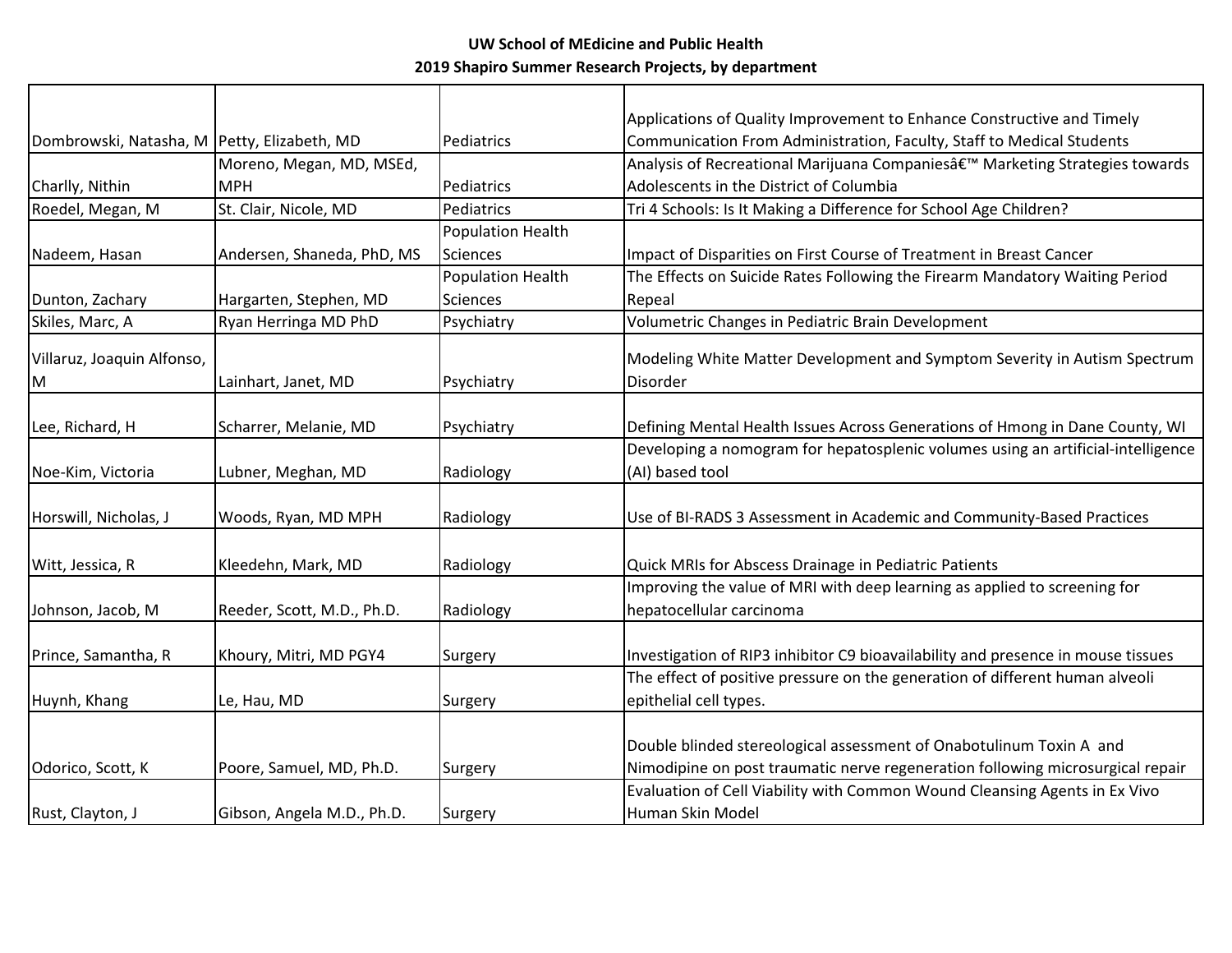|                                               |                            |                          | Applications of Quality Improvement to Enhance Constructive and Timely           |
|-----------------------------------------------|----------------------------|--------------------------|----------------------------------------------------------------------------------|
| Dombrowski, Natasha, M   Petty, Elizabeth, MD |                            | Pediatrics               | Communication From Administration, Faculty, Staff to Medical Students            |
|                                               | Moreno, Megan, MD, MSEd,   |                          | Analysis of Recreational Marijuana Companies' Marketing Strategies towards       |
| Charlly, Nithin                               | <b>MPH</b>                 | Pediatrics               | Adolescents in the District of Columbia                                          |
| Roedel, Megan, M                              | St. Clair, Nicole, MD      | Pediatrics               | Tri 4 Schools: Is It Making a Difference for School Age Children?                |
|                                               |                            | <b>Population Health</b> |                                                                                  |
| Nadeem, Hasan                                 | Andersen, Shaneda, PhD, MS | Sciences                 | Impact of Disparities on First Course of Treatment in Breast Cancer              |
|                                               |                            | <b>Population Health</b> | The Effects on Suicide Rates Following the Firearm Mandatory Waiting Period      |
| Dunton, Zachary                               | Hargarten, Stephen, MD     | Sciences                 | Repeal                                                                           |
| Skiles, Marc, A                               | Ryan Herringa MD PhD       | Psychiatry               | Volumetric Changes in Pediatric Brain Development                                |
| Villaruz, Joaquin Alfonso,                    |                            |                          | Modeling White Matter Development and Symptom Severity in Autism Spectrum        |
| M                                             | Lainhart, Janet, MD        | Psychiatry               | Disorder                                                                         |
|                                               |                            |                          |                                                                                  |
| Lee, Richard, H                               | Scharrer, Melanie, MD      | Psychiatry               | Defining Mental Health Issues Across Generations of Hmong in Dane County, WI     |
|                                               |                            |                          | Developing a nomogram for hepatosplenic volumes using an artificial-intelligence |
| Noe-Kim, Victoria                             | Lubner, Meghan, MD         | Radiology                | (AI) based tool                                                                  |
|                                               |                            |                          |                                                                                  |
| Horswill, Nicholas, J                         | Woods, Ryan, MD MPH        | Radiology                | Use of BI-RADS 3 Assessment in Academic and Community-Based Practices            |
|                                               |                            |                          |                                                                                  |
| Witt, Jessica, R                              | Kleedehn, Mark, MD         | Radiology                | Quick MRIs for Abscess Drainage in Pediatric Patients                            |
|                                               |                            |                          | Improving the value of MRI with deep learning as applied to screening for        |
| Johnson, Jacob, M                             | Reeder, Scott, M.D., Ph.D. | Radiology                | hepatocellular carcinoma                                                         |
|                                               |                            |                          |                                                                                  |
| Prince, Samantha, R                           | Khoury, Mitri, MD PGY4     | Surgery                  | Investigation of RIP3 inhibitor C9 bioavailability and presence in mouse tissues |
|                                               |                            |                          | The effect of positive pressure on the generation of different human alveoli     |
| Huynh, Khang                                  | Le, Hau, MD                | Surgery                  | epithelial cell types.                                                           |
|                                               |                            |                          |                                                                                  |
|                                               |                            |                          | Double blinded stereological assessment of Onabotulinum Toxin A and              |
| Odorico, Scott, K                             | Poore, Samuel, MD, Ph.D.   | Surgery                  | Nimodipine on post traumatic nerve regeneration following microsurgical repair   |
|                                               |                            |                          | Evaluation of Cell Viability with Common Wound Cleansing Agents in Ex Vivo       |
| Rust, Clayton, J                              | Gibson, Angela M.D., Ph.D. | Surgery                  | Human Skin Model                                                                 |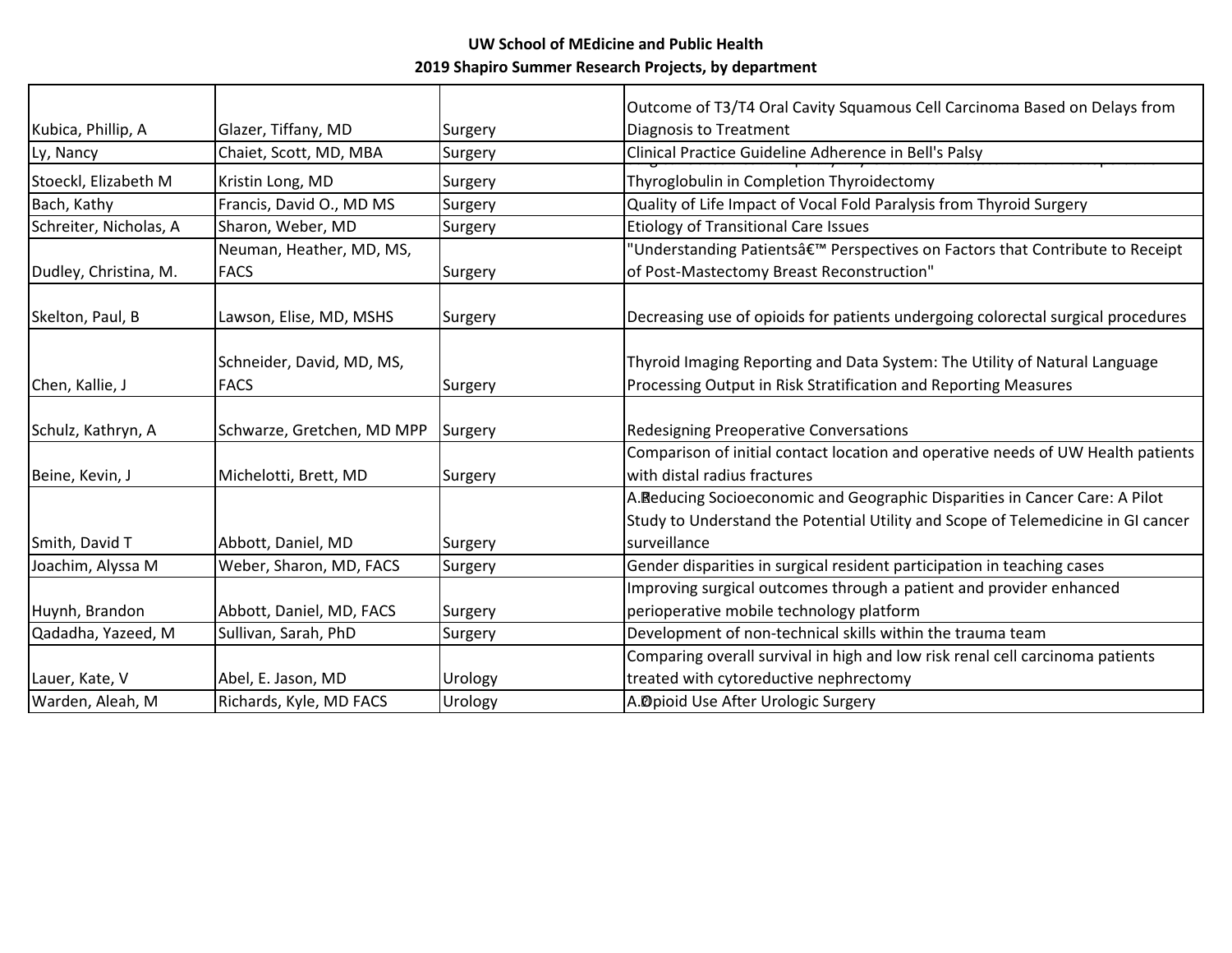|                        |                                          |         | Outcome of T3/T4 Oral Cavity Squamous Cell Carcinoma Based on Delays from                                                                                                        |
|------------------------|------------------------------------------|---------|----------------------------------------------------------------------------------------------------------------------------------------------------------------------------------|
| Kubica, Phillip, A     | Glazer, Tiffany, MD                      | Surgery | Diagnosis to Treatment                                                                                                                                                           |
| Ly, Nancy              | Chaiet, Scott, MD, MBA                   | Surgery | Clinical Practice Guideline Adherence in Bell's Palsy                                                                                                                            |
| Stoeckl, Elizabeth M   | Kristin Long, MD                         | Surgery | Thyroglobulin in Completion Thyroidectomy                                                                                                                                        |
| Bach, Kathy            | Francis, David O., MD MS                 | Surgery | Quality of Life Impact of Vocal Fold Paralysis from Thyroid Surgery                                                                                                              |
| Schreiter, Nicholas, A | Sharon, Weber, MD                        | Surgery | <b>Etiology of Transitional Care Issues</b>                                                                                                                                      |
|                        | Neuman, Heather, MD, MS,                 |         | "Understanding Patients' Perspectives on Factors that Contribute to Receipt                                                                                                      |
| Dudley, Christina, M.  | <b>FACS</b>                              | Surgery | of Post-Mastectomy Breast Reconstruction"                                                                                                                                        |
| Skelton, Paul, B       | Lawson, Elise, MD, MSHS                  | Surgery | Decreasing use of opioids for patients undergoing colorectal surgical procedures                                                                                                 |
| Chen, Kallie, J        | Schneider, David, MD, MS,<br><b>FACS</b> | Surgery | Thyroid Imaging Reporting and Data System: The Utility of Natural Language<br>Processing Output in Risk Stratification and Reporting Measures                                    |
| Schulz, Kathryn, A     | Schwarze, Gretchen, MD MPP               | Surgery | <b>Redesigning Preoperative Conversations</b>                                                                                                                                    |
| Beine, Kevin, J        | Michelotti, Brett, MD                    | Surgery | Comparison of initial contact location and operative needs of UW Health patients<br>with distal radius fractures                                                                 |
| Smith, David T         | Abbott, Daniel, MD                       | Surgery | A. Reducing Socioeconomic and Geographic Disparities in Cancer Care: A Pilot<br>Study to Understand the Potential Utility and Scope of Telemedicine in GI cancer<br>surveillance |
| Joachim, Alyssa M      | Weber, Sharon, MD, FACS                  | Surgery | Gender disparities in surgical resident participation in teaching cases                                                                                                          |
|                        |                                          |         | Improving surgical outcomes through a patient and provider enhanced                                                                                                              |
| Huynh, Brandon         | Abbott, Daniel, MD, FACS                 | Surgery | perioperative mobile technology platform                                                                                                                                         |
| Qadadha, Yazeed, M     | Sullivan, Sarah, PhD                     | Surgery | Development of non-technical skills within the trauma team                                                                                                                       |
|                        |                                          |         | Comparing overall survival in high and low risk renal cell carcinoma patients                                                                                                    |
| Lauer, Kate, V         | Abel, E. Jason, MD                       | Urology | treated with cytoreductive nephrectomy                                                                                                                                           |
| Warden, Aleah, M       | Richards, Kyle, MD FACS                  | Urology | A. Dpioid Use After Urologic Surgery                                                                                                                                             |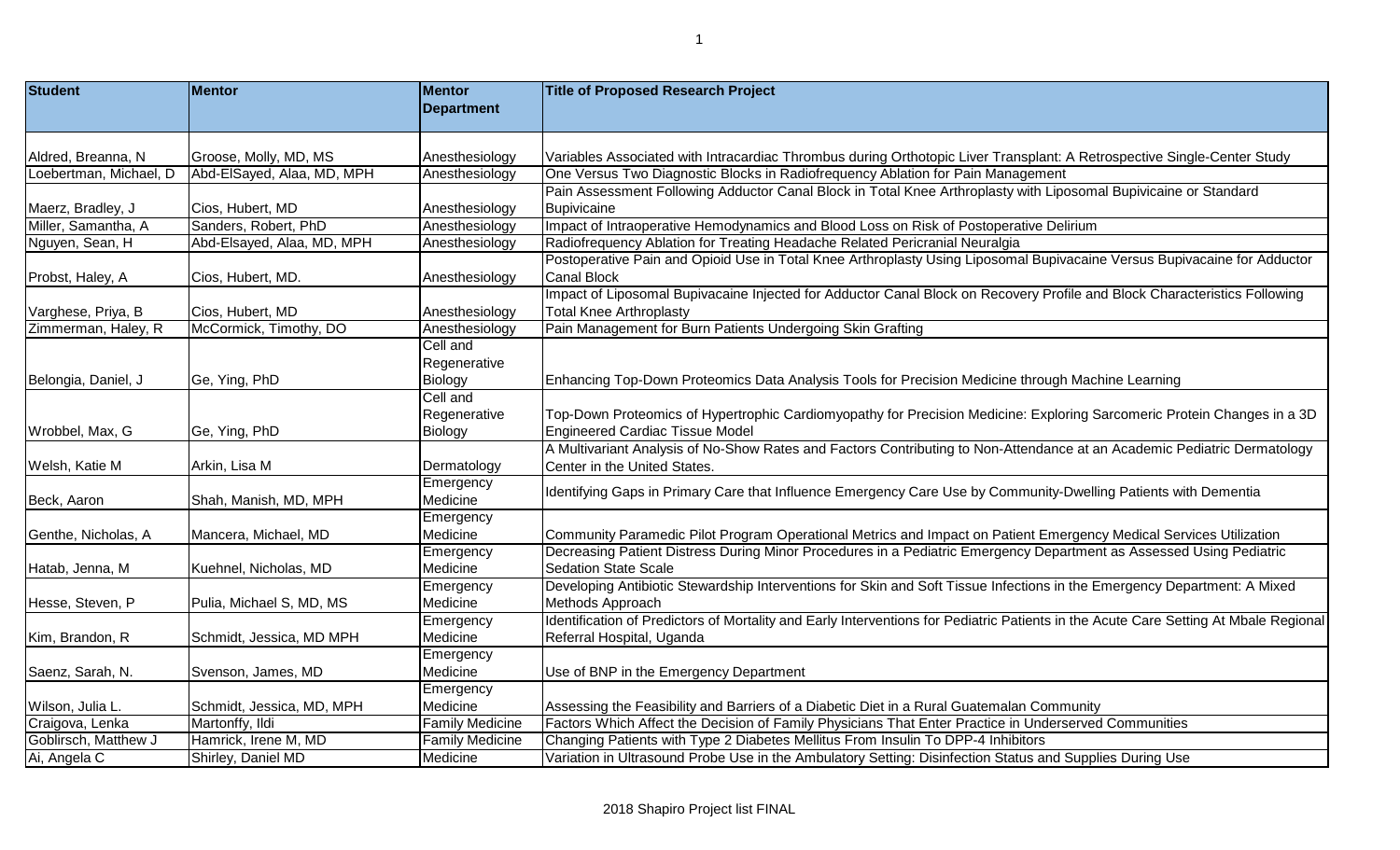| <b>Student</b>         | <b>Mentor</b>              | <b>Mentor</b>          | <b>Title of Proposed Research Project</b>                                                                                            |
|------------------------|----------------------------|------------------------|--------------------------------------------------------------------------------------------------------------------------------------|
|                        |                            | <b>Department</b>      |                                                                                                                                      |
|                        |                            |                        |                                                                                                                                      |
|                        |                            |                        |                                                                                                                                      |
| Aldred, Breanna, N     | Groose, Molly, MD, MS      | Anesthesiology         | Variables Associated with Intracardiac Thrombus during Orthotopic Liver Transplant: A Retrospective Single-Center Study              |
| Loebertman, Michael, D | Abd-ElSayed, Alaa, MD, MPH | Anesthesiology         | One Versus Two Diagnostic Blocks in Radiofrequency Ablation for Pain Management                                                      |
|                        |                            |                        | Pain Assessment Following Adductor Canal Block in Total Knee Arthroplasty with Liposomal Bupivicaine or Standard                     |
| Maerz, Bradley, J      | Cios, Hubert, MD           | Anesthesiology         | Bupivicaine                                                                                                                          |
| Miller, Samantha, A    | Sanders, Robert, PhD       | Anesthesiology         | Impact of Intraoperative Hemodynamics and Blood Loss on Risk of Postoperative Delirium                                               |
| Nguyen, Sean, H        | Abd-Elsayed, Alaa, MD, MPH | Anesthesiology         | Radiofrequency Ablation for Treating Headache Related Pericranial Neuralgia                                                          |
|                        |                            |                        | Postoperative Pain and Opioid Use in Total Knee Arthroplasty Using Liposomal Bupivacaine Versus Bupivacaine for Adductor             |
| Probst, Haley, A       | Cios, Hubert, MD.          | Anesthesiology         | <b>Canal Block</b>                                                                                                                   |
|                        |                            |                        | Impact of Liposomal Bupivacaine Injected for Adductor Canal Block on Recovery Profile and Block Characteristics Following            |
| Varghese, Priya, B     | Cios, Hubert, MD           | Anesthesiology         | <b>Total Knee Arthroplasty</b>                                                                                                       |
| Zimmerman, Haley, R    | McCormick, Timothy, DO     | Anesthesiology         | Pain Management for Burn Patients Undergoing Skin Grafting                                                                           |
|                        |                            | Cell and               |                                                                                                                                      |
|                        |                            | Regenerative           |                                                                                                                                      |
| Belongia, Daniel, J    | Ge, Ying, PhD              | Biology                | Enhancing Top-Down Proteomics Data Analysis Tools for Precision Medicine through Machine Learning                                    |
|                        |                            | Cell and               |                                                                                                                                      |
|                        |                            | Regenerative           | Top-Down Proteomics of Hypertrophic Cardiomyopathy for Precision Medicine: Exploring Sarcomeric Protein Changes in a 3D              |
| Wrobbel, Max, G        | Ge, Ying, PhD              | Biology                | <b>Engineered Cardiac Tissue Model</b>                                                                                               |
|                        |                            |                        | A Multivariant Analysis of No-Show Rates and Factors Contributing to Non-Attendance at an Academic Pediatric Dermatology             |
| Welsh, Katie M         | Arkin, Lisa M              | Dermatology            | Center in the United States.                                                                                                         |
|                        |                            | Emergency              | Identifying Gaps in Primary Care that Influence Emergency Care Use by Community-Dwelling Patients with Dementia                      |
| Beck, Aaron            | Shah, Manish, MD, MPH      | Medicine               |                                                                                                                                      |
|                        |                            | Emergency              |                                                                                                                                      |
| Genthe, Nicholas, A    | Mancera, Michael, MD       | Medicine               | Community Paramedic Pilot Program Operational Metrics and Impact on Patient Emergency Medical Services Utilization                   |
|                        |                            | Emergency              | Decreasing Patient Distress During Minor Procedures in a Pediatric Emergency Department as Assessed Using Pediatric                  |
| Hatab, Jenna, M        | Kuehnel, Nicholas, MD      | Medicine               | <b>Sedation State Scale</b>                                                                                                          |
|                        |                            | Emergency              | Developing Antibiotic Stewardship Interventions for Skin and Soft Tissue Infections in the Emergency Department: A Mixed             |
| Hesse, Steven, P       | Pulia, Michael S, MD, MS   | Medicine               | Methods Approach                                                                                                                     |
|                        |                            | Emergency              | Identification of Predictors of Mortality and Early Interventions for Pediatric Patients in the Acute Care Setting At Mbale Regional |
| Kim, Brandon, R        | Schmidt, Jessica, MD MPH   | Medicine               | Referral Hospital, Uganda                                                                                                            |
|                        |                            | Emergency              |                                                                                                                                      |
| Saenz, Sarah, N.       | Svenson, James, MD         | Medicine               | Use of BNP in the Emergency Department                                                                                               |
|                        |                            | Emergency              |                                                                                                                                      |
| Wilson, Julia L.       | Schmidt, Jessica, MD, MPH  | Medicine               | Assessing the Feasibility and Barriers of a Diabetic Diet in a Rural Guatemalan Community                                            |
| Craigova, Lenka        | Martonffy, Ildi            | <b>Family Medicine</b> | Factors Which Affect the Decision of Family Physicians That Enter Practice in Underserved Communities                                |
| Goblirsch, Matthew J   | Hamrick, Irene M, MD       | <b>Family Medicine</b> | Changing Patients with Type 2 Diabetes Mellitus From Insulin To DPP-4 Inhibitors                                                     |
| Ai, Angela C           | Shirley, Daniel MD         | Medicine               | Variation in Ultrasound Probe Use in the Ambulatory Setting: Disinfection Status and Supplies During Use                             |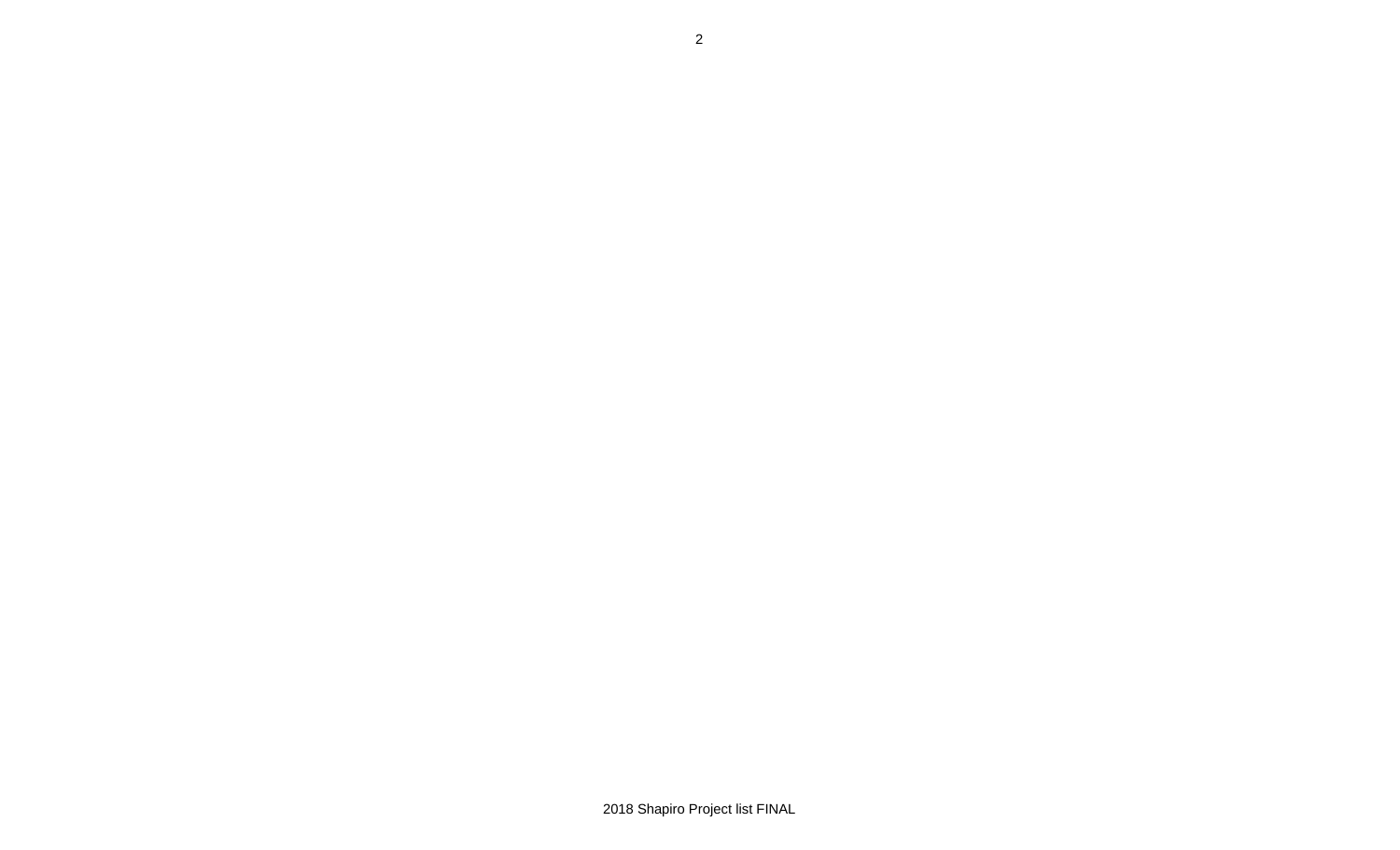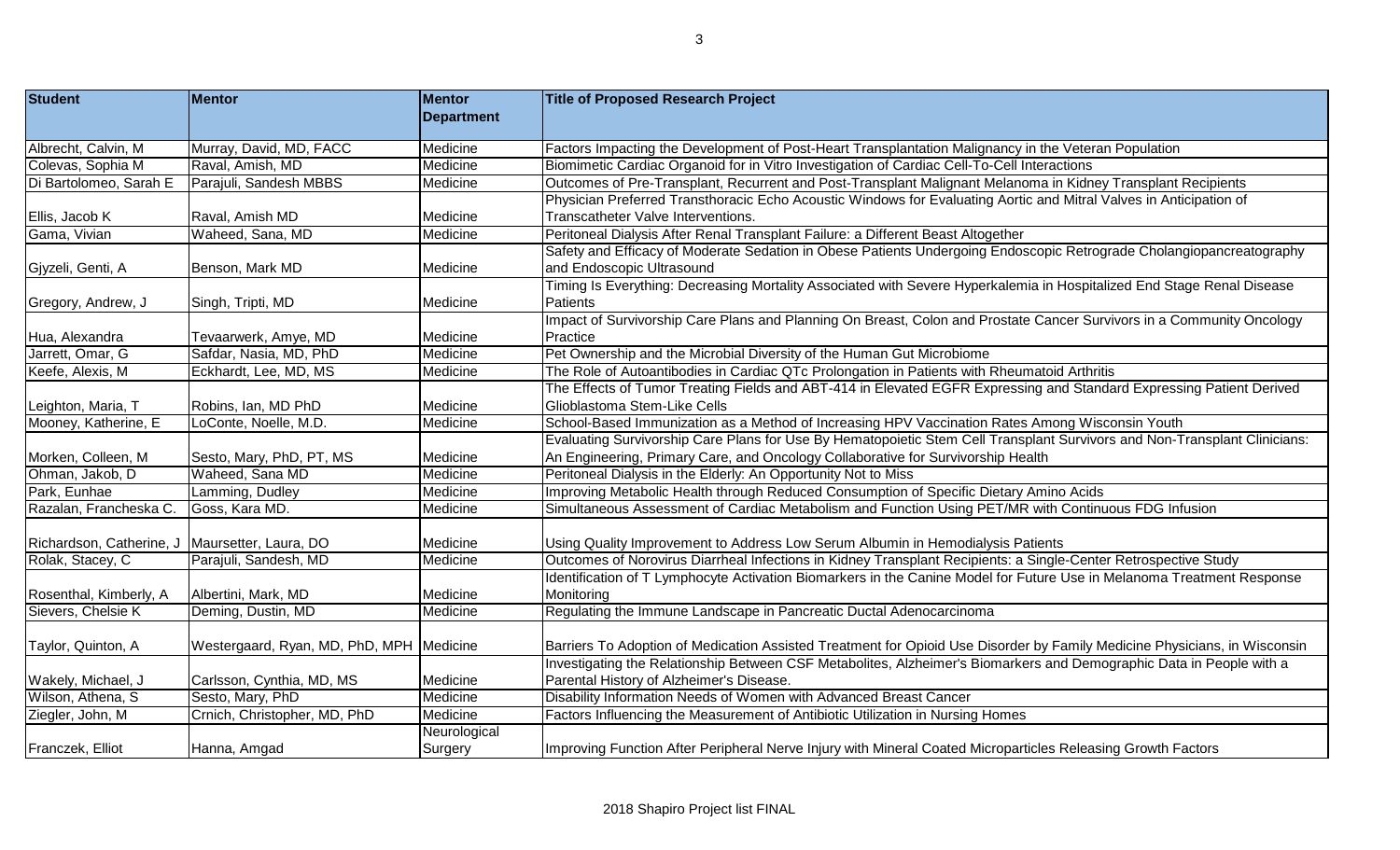| <b>Student</b>                                 | Mentor                                   | <b>Mentor</b>     | <b>Title of Proposed Research Project</b>                                                                                 |
|------------------------------------------------|------------------------------------------|-------------------|---------------------------------------------------------------------------------------------------------------------------|
|                                                |                                          | <b>Department</b> |                                                                                                                           |
| Albrecht, Calvin, M                            | Murray, David, MD, FACC                  | Medicine          | Factors Impacting the Development of Post-Heart Transplantation Malignancy in the Veteran Population                      |
| Colevas, Sophia M                              | Raval, Amish, MD                         | Medicine          | Biomimetic Cardiac Organoid for in Vitro Investigation of Cardiac Cell-To-Cell Interactions                               |
| Di Bartolomeo, Sarah E                         | Parajuli, Sandesh MBBS                   | Medicine          | Outcomes of Pre-Transplant, Recurrent and Post-Transplant Malignant Melanoma in Kidney Transplant Recipients              |
|                                                |                                          |                   | Physician Preferred Transthoracic Echo Acoustic Windows for Evaluating Aortic and Mitral Valves in Anticipation of        |
| Ellis, Jacob K                                 | Raval, Amish MD                          | Medicine          | Transcatheter Valve Interventions.                                                                                        |
| Gama, Vivian                                   | Waheed, Sana, MD                         | Medicine          | Peritoneal Dialysis After Renal Transplant Failure: a Different Beast Altogether                                          |
|                                                |                                          |                   | Safety and Efficacy of Moderate Sedation in Obese Patients Undergoing Endoscopic Retrograde Cholangiopancreatography      |
| Gjyzeli, Genti, A                              | Benson, Mark MD                          | Medicine          | and Endoscopic Ultrasound                                                                                                 |
|                                                |                                          |                   | Timing Is Everything: Decreasing Mortality Associated with Severe Hyperkalemia in Hospitalized End Stage Renal Disease    |
| Gregory, Andrew, J                             | Singh, Tripti, MD                        | Medicine          | Patients                                                                                                                  |
|                                                |                                          |                   | Impact of Survivorship Care Plans and Planning On Breast, Colon and Prostate Cancer Survivors in a Community Oncology     |
| Hua, Alexandra                                 | Tevaarwerk, Amye, MD                     | Medicine          | Practice                                                                                                                  |
| Jarrett, Omar, G                               | Safdar, Nasia, MD, PhD                   | Medicine          | Pet Ownership and the Microbial Diversity of the Human Gut Microbiome                                                     |
| Keefe, Alexis, M                               | Eckhardt, Lee, MD, MS                    | <b>Medicine</b>   | The Role of Autoantibodies in Cardiac QTc Prolongation in Patients with Rheumatoid Arthritis                              |
|                                                |                                          |                   | The Effects of Tumor Treating Fields and ABT-414 in Elevated EGFR Expressing and Standard Expressing Patient Derived      |
| Leighton, Maria, T                             | Robins, Ian, MD PhD                      | Medicine          | Glioblastoma Stem-Like Cells                                                                                              |
| Mooney, Katherine, E                           | LoConte, Noelle, M.D.                    | Medicine          | School-Based Immunization as a Method of Increasing HPV Vaccination Rates Among Wisconsin Youth                           |
|                                                |                                          |                   | Evaluating Survivorship Care Plans for Use By Hematopoietic Stem Cell Transplant Survivors and Non-Transplant Clinicians: |
| Morken, Colleen, M                             | Sesto, Mary, PhD, PT, MS                 | Medicine          | An Engineering, Primary Care, and Oncology Collaborative for Survivorship Health                                          |
| Ohman, Jakob, D                                | Waheed, Sana MD                          | Medicine          | Peritoneal Dialysis in the Elderly: An Opportunity Not to Miss                                                            |
| Park, Eunhae                                   | Lamming, Dudley                          | Medicine          | Improving Metabolic Health through Reduced Consumption of Specific Dietary Amino Acids                                    |
| Razalan, Francheska C.                         | Goss, Kara MD.                           | Medicine          | Simultaneous Assessment of Cardiac Metabolism and Function Using PET/MR with Continuous FDG Infusion                      |
|                                                |                                          |                   |                                                                                                                           |
| Richardson, Catherine, J Maursetter, Laura, DO |                                          | Medicine          | Using Quality Improvement to Address Low Serum Albumin in Hemodialysis Patients                                           |
| Rolak, Stacey, C                               | Parajuli, Sandesh, MD                    | Medicine          | Outcomes of Norovirus Diarrheal Infections in Kidney Transplant Recipients: a Single-Center Retrospective Study           |
|                                                |                                          |                   | Identification of T Lymphocyte Activation Biomarkers in the Canine Model for Future Use in Melanoma Treatment Response    |
| Rosenthal, Kimberly, A                         | Albertini, Mark, MD                      | Medicine          | Monitoring                                                                                                                |
| Sievers, Chelsie K                             | Deming, Dustin, MD                       | Medicine          | Regulating the Immune Landscape in Pancreatic Ductal Adenocarcinoma                                                       |
| Taylor, Quinton, A                             | Westergaard, Ryan, MD, PhD, MPH Medicine |                   | Barriers To Adoption of Medication Assisted Treatment for Opioid Use Disorder by Family Medicine Physicians, in Wisconsin |
|                                                |                                          |                   | Investigating the Relationship Between CSF Metabolites, Alzheimer's Biomarkers and Demographic Data in People with a      |
| Wakely, Michael, J                             | Carlsson, Cynthia, MD, MS                | Medicine          | Parental History of Alzheimer's Disease.                                                                                  |
| Wilson, Athena, S                              | Sesto, Mary, PhD                         | <b>Medicine</b>   | Disability Information Needs of Women with Advanced Breast Cancer                                                         |
| Ziegler, John, M                               | Crnich, Christopher, MD, PhD             | Medicine          | Factors Influencing the Measurement of Antibiotic Utilization in Nursing Homes                                            |
|                                                |                                          | Neurological      |                                                                                                                           |
| Franczek, Elliot                               | Hanna, Amgad                             | Surgery           | Improving Function After Peripheral Nerve Injury with Mineral Coated Microparticles Releasing Growth Factors              |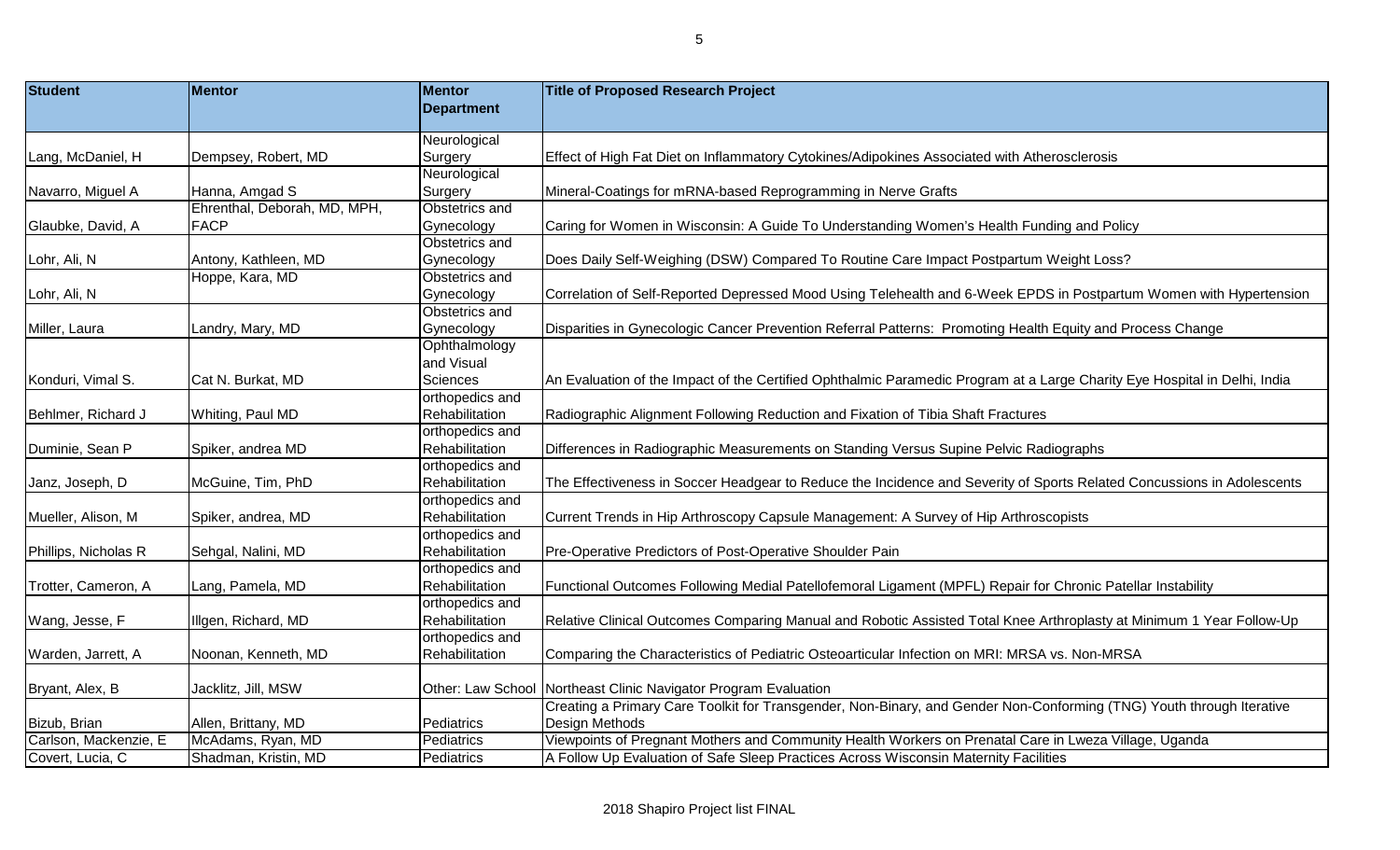| <b>Student</b>        | Mentor                       | <b>Mentor</b>     | <b>Title of Proposed Research Project</b>                                                                                 |
|-----------------------|------------------------------|-------------------|---------------------------------------------------------------------------------------------------------------------------|
|                       |                              | <b>Department</b> |                                                                                                                           |
|                       |                              |                   |                                                                                                                           |
|                       |                              | Neurological      |                                                                                                                           |
| Lang, McDaniel, H     | Dempsey, Robert, MD          | Surgery           | Effect of High Fat Diet on Inflammatory Cytokines/Adipokines Associated with Atherosclerosis                              |
|                       |                              | Neurological      |                                                                                                                           |
| Navarro, Miguel A     | Hanna, Amgad S               | Surgery           | Mineral-Coatings for mRNA-based Reprogramming in Nerve Grafts                                                             |
|                       | Ehrenthal, Deborah, MD, MPH, | Obstetrics and    |                                                                                                                           |
| Glaubke, David, A     | <b>FACP</b>                  | Gynecology        | Caring for Women in Wisconsin: A Guide To Understanding Women's Health Funding and Policy                                 |
|                       |                              | Obstetrics and    |                                                                                                                           |
| Lohr, Ali, N          | Antony, Kathleen, MD         | Gynecology        | Does Daily Self-Weighing (DSW) Compared To Routine Care Impact Postpartum Weight Loss?                                    |
|                       | Hoppe, Kara, MD              | Obstetrics and    |                                                                                                                           |
| Lohr, Ali, N          |                              | Gynecology        | Correlation of Self-Reported Depressed Mood Using Telehealth and 6-Week EPDS in Postpartum Women with Hypertension        |
|                       |                              | Obstetrics and    |                                                                                                                           |
| Miller, Laura         | Landry, Mary, MD             | Gynecology        | Disparities in Gynecologic Cancer Prevention Referral Patterns: Promoting Health Equity and Process Change                |
|                       |                              | Ophthalmology     |                                                                                                                           |
|                       |                              | and Visual        |                                                                                                                           |
| Konduri, Vimal S.     | Cat N. Burkat, MD            | <b>Sciences</b>   | An Evaluation of the Impact of the Certified Ophthalmic Paramedic Program at a Large Charity Eye Hospital in Delhi, India |
|                       |                              | orthopedics and   |                                                                                                                           |
| Behlmer, Richard J    | Whiting, Paul MD             | Rehabilitation    | Radiographic Alignment Following Reduction and Fixation of Tibia Shaft Fractures                                          |
|                       |                              | orthopedics and   |                                                                                                                           |
| Duminie, Sean P       | Spiker, andrea MD            | Rehabilitation    | Differences in Radiographic Measurements on Standing Versus Supine Pelvic Radiographs                                     |
|                       |                              | orthopedics and   |                                                                                                                           |
| Janz, Joseph, D       | McGuine, Tim, PhD            | Rehabilitation    | The Effectiveness in Soccer Headgear to Reduce the Incidence and Severity of Sports Related Concussions in Adolescents    |
|                       |                              | orthopedics and   |                                                                                                                           |
| Mueller, Alison, M    | Spiker, andrea, MD           | Rehabilitation    | Current Trends in Hip Arthroscopy Capsule Management: A Survey of Hip Arthroscopists                                      |
|                       |                              | orthopedics and   |                                                                                                                           |
| Phillips, Nicholas R  | Sehgal, Nalini, MD           | Rehabilitation    | Pre-Operative Predictors of Post-Operative Shoulder Pain                                                                  |
|                       |                              | orthopedics and   |                                                                                                                           |
| Trotter, Cameron, A   | Lang, Pamela, MD             | Rehabilitation    | Functional Outcomes Following Medial Patellofemoral Ligament (MPFL) Repair for Chronic Patellar Instability               |
|                       |                              | orthopedics and   |                                                                                                                           |
| Wang, Jesse, F        | Illgen, Richard, MD          | Rehabilitation    | Relative Clinical Outcomes Comparing Manual and Robotic Assisted Total Knee Arthroplasty at Minimum 1 Year Follow-Up      |
|                       |                              | orthopedics and   |                                                                                                                           |
| Warden, Jarrett, A    | Noonan, Kenneth, MD          | Rehabilitation    | Comparing the Characteristics of Pediatric Osteoarticular Infection on MRI: MRSA vs. Non-MRSA                             |
|                       |                              |                   |                                                                                                                           |
| Bryant, Alex, B       | Jacklitz, Jill, MSW          |                   | Other: Law School   Northeast Clinic Navigator Program Evaluation                                                         |
|                       |                              |                   | Creating a Primary Care Toolkit for Transgender, Non-Binary, and Gender Non-Conforming (TNG) Youth through Iterative      |
| Bizub, Brian          | Allen, Brittany, MD          | Pediatrics        | Design Methods                                                                                                            |
| Carlson, Mackenzie, E | McAdams, Ryan, MD            | Pediatrics        | Viewpoints of Pregnant Mothers and Community Health Workers on Prenatal Care in Lweza Village, Uganda                     |
| Covert, Lucia, C      | Shadman, Kristin, MD         | Pediatrics        | A Follow Up Evaluation of Safe Sleep Practices Across Wisconsin Maternity Facilities                                      |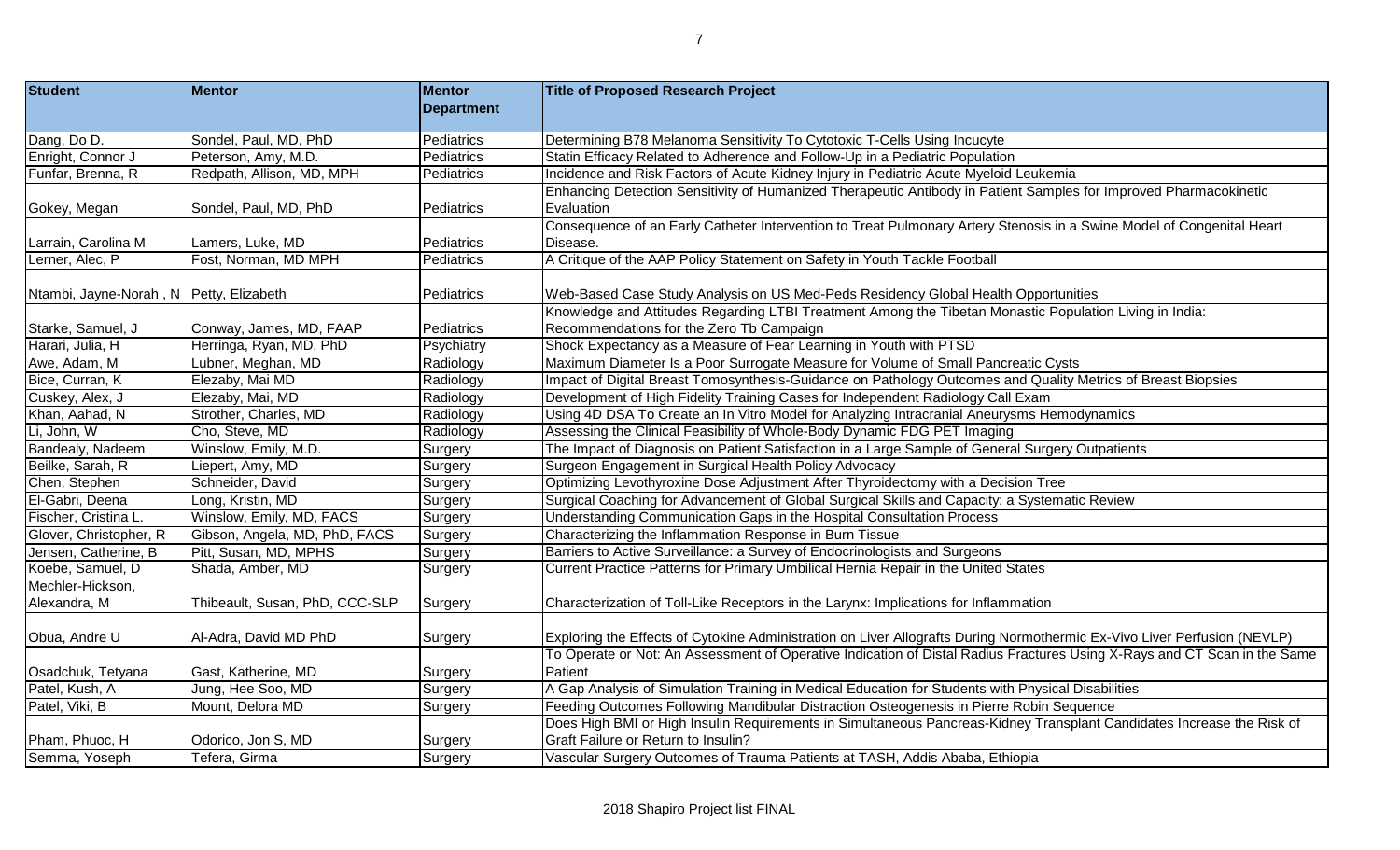| <b>Student</b>                          | Mentor                         | <b>Mentor</b>     | <b>Title of Proposed Research Project</b>                                                                                |
|-----------------------------------------|--------------------------------|-------------------|--------------------------------------------------------------------------------------------------------------------------|
|                                         |                                | <b>Department</b> |                                                                                                                          |
|                                         |                                |                   |                                                                                                                          |
| Dang, Do D.                             | Sondel, Paul, MD, PhD          | Pediatrics        | Determining B78 Melanoma Sensitivity To Cytotoxic T-Cells Using Incucyte                                                 |
| Enright, Connor J                       | Peterson, Amy, M.D.            | Pediatrics        | Statin Efficacy Related to Adherence and Follow-Up in a Pediatric Population                                             |
| Funfar, Brenna, R                       | Redpath, Allison, MD, MPH      | Pediatrics        | Incidence and Risk Factors of Acute Kidney Injury in Pediatric Acute Myeloid Leukemia                                    |
|                                         |                                |                   | Enhancing Detection Sensitivity of Humanized Therapeutic Antibody in Patient Samples for Improved Pharmacokinetic        |
| Gokey, Megan                            | Sondel, Paul, MD, PhD          | Pediatrics        | Evaluation                                                                                                               |
|                                         |                                |                   | Consequence of an Early Catheter Intervention to Treat Pulmonary Artery Stenosis in a Swine Model of Congenital Heart    |
| Larrain, Carolina M                     | Lamers, Luke, MD               | Pediatrics        | Disease.                                                                                                                 |
| Lerner, Alec, P                         | Fost, Norman, MD MPH           | <b>Pediatrics</b> | A Critique of the AAP Policy Statement on Safety in Youth Tackle Football                                                |
|                                         |                                |                   |                                                                                                                          |
| Ntambi, Jayne-Norah, N Petty, Elizabeth |                                | Pediatrics        | Web-Based Case Study Analysis on US Med-Peds Residency Global Health Opportunities                                       |
|                                         |                                |                   | Knowledge and Attitudes Regarding LTBI Treatment Among the Tibetan Monastic Population Living in India:                  |
| Starke, Samuel, J                       | Conway, James, MD, FAAP        | Pediatrics        | Recommendations for the Zero Tb Campaign                                                                                 |
| Harari, Julia, H                        | Herringa, Ryan, MD, PhD        | Psychiatry        | Shock Expectancy as a Measure of Fear Learning in Youth with PTSD                                                        |
| Awe, Adam, M                            | Lubner, Meghan, MD             | Radiology         | Maximum Diameter Is a Poor Surrogate Measure for Volume of Small Pancreatic Cysts                                        |
| Bice, Curran, K                         | Elezaby, Mai MD                | Radiology         | Impact of Digital Breast Tomosynthesis-Guidance on Pathology Outcomes and Quality Metrics of Breast Biopsies             |
| Cuskey, Alex, J                         | Elezaby, Mai, MD               | Radiology         | Development of High Fidelity Training Cases for Independent Radiology Call Exam                                          |
| Khan, Aahad, N                          | Strother, Charles, MD          | Radiology         | Using 4D DSA To Create an In Vitro Model for Analyzing Intracranial Aneurysms Hemodynamics                               |
| Li, John, W                             | Cho, Steve, MD                 | Radiology         | Assessing the Clinical Feasibility of Whole-Body Dynamic FDG PET Imaging                                                 |
| Bandealy, Nadeem                        | Winslow, Emily, M.D.           | Surgery           | The Impact of Diagnosis on Patient Satisfaction in a Large Sample of General Surgery Outpatients                         |
| Beilke, Sarah, R                        | Liepert, Amy, MD               | Surgery           | Surgeon Engagement in Surgical Health Policy Advocacy                                                                    |
| Chen, Stephen                           | Schneider, David               | Surgery           | Optimizing Levothyroxine Dose Adjustment After Thyroidectomy with a Decision Tree                                        |
| El-Gabri, Deena                         | Long, Kristin, MD              | Surgery           | Surgical Coaching for Advancement of Global Surgical Skills and Capacity: a Systematic Review                            |
| Fischer, Cristina L.                    | Winslow, Emily, MD, FACS       | Surgery           | Understanding Communication Gaps in the Hospital Consultation Process                                                    |
| Glover, Christopher, R                  | Gibson, Angela, MD, PhD, FACS  | Surgery           | Characterizing the Inflammation Response in Burn Tissue                                                                  |
| Jensen, Catherine, B                    | Pitt, Susan, MD, MPHS          | Surgery           | Barriers to Active Surveillance: a Survey of Endocrinologists and Surgeons                                               |
| Koebe, Samuel, D                        | Shada, Amber, MD               | Surgery           | Current Practice Patterns for Primary Umbilical Hernia Repair in the United States                                       |
| Mechler-Hickson,                        |                                |                   |                                                                                                                          |
| Alexandra, M                            | Thibeault, Susan, PhD, CCC-SLP | Surgery           | Characterization of Toll-Like Receptors in the Larynx: Implications for Inflammation                                     |
| Obua, Andre U                           | Al-Adra, David MD PhD          | Surgery           | Exploring the Effects of Cytokine Administration on Liver Allografts During Normothermic Ex-Vivo Liver Perfusion (NEVLP) |
|                                         |                                |                   | To Operate or Not: An Assessment of Operative Indication of Distal Radius Fractures Using X-Rays and CT Scan in the Same |
| Osadchuk, Tetyana                       | Gast, Katherine, MD            | Surgery           | Patient                                                                                                                  |
| Patel, Kush, A                          | Jung, Hee Soo, MD              | Surgery           | A Gap Analysis of Simulation Training in Medical Education for Students with Physical Disabilities                       |
| Patel, Viki, B                          | Mount, Delora MD               | Surgery           | Feeding Outcomes Following Mandibular Distraction Osteogenesis in Pierre Robin Sequence                                  |
|                                         |                                |                   | Does High BMI or High Insulin Requirements in Simultaneous Pancreas-Kidney Transplant Candidates Increase the Risk of    |
|                                         |                                |                   |                                                                                                                          |
| Pham, Phuoc, H                          | Odorico, Jon S, MD             | Surgery           | Graft Failure or Return to Insulin?                                                                                      |
| Semma, Yoseph                           | Tefera, Girma                  | Surgery           | Vascular Surgery Outcomes of Trauma Patients at TASH, Addis Ababa, Ethiopia                                              |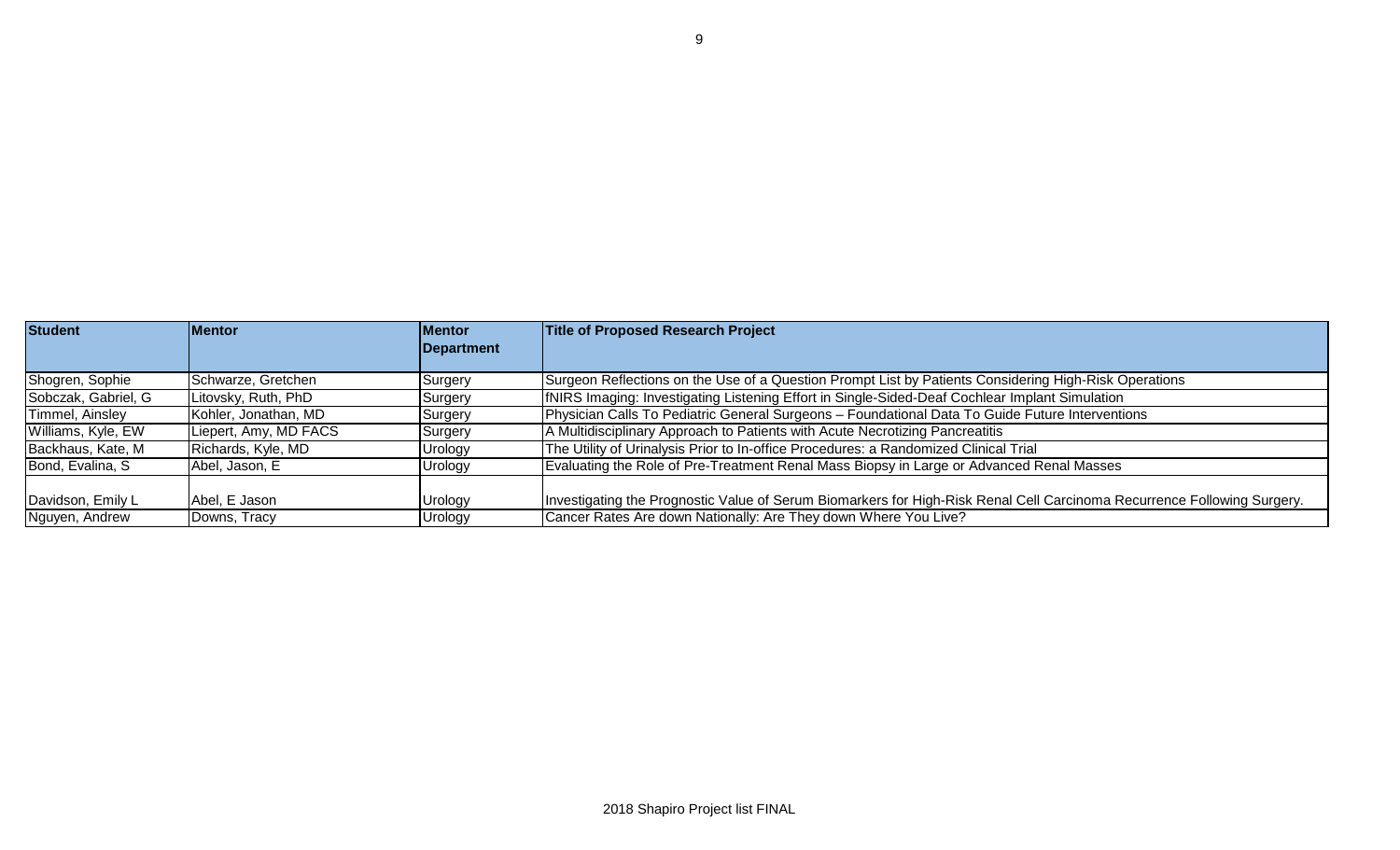| <b>Student</b>      | <b>Mentor</b>         | <b>Mentor</b> | <b>Title of Proposed Research Project</b>                                                                               |
|---------------------|-----------------------|---------------|-------------------------------------------------------------------------------------------------------------------------|
|                     |                       | Department    |                                                                                                                         |
| Shogren, Sophie     | Schwarze, Gretchen    | Surgery       | Surgeon Reflections on the Use of a Question Prompt List by Patients Considering High-Risk Operations                   |
| Sobczak, Gabriel, G | Litovsky, Ruth, PhD   | Surgery       | fNIRS Imaging: Investigating Listening Effort in Single-Sided-Deaf Cochlear Implant Simulation                          |
| Timmel, Ainsley     | Kohler, Jonathan, MD  | Surgery       | Physician Calls To Pediatric General Surgeons - Foundational Data To Guide Future Interventions                         |
| Williams, Kyle, EW  | Liepert, Amy, MD FACS | Surgery       | A Multidisciplinary Approach to Patients with Acute Necrotizing Pancreatitis                                            |
| Backhaus, Kate, M   | Richards, Kyle, MD    | Urology       | The Utility of Urinalysis Prior to In-office Procedures: a Randomized Clinical Trial                                    |
| Bond, Evalina, S    | Abel, Jason, E        | Urology       | Evaluating the Role of Pre-Treatment Renal Mass Biopsy in Large or Advanced Renal Masses                                |
|                     |                       |               |                                                                                                                         |
| Davidson, Emily L   | Abel, E Jason         | Urology       | Investigating the Prognostic Value of Serum Biomarkers for High-Risk Renal Cell Carcinoma Recurrence Following Surgery. |
| Nguyen, Andrew      | Downs, Tracy          | Urology       | Cancer Rates Are down Nationally: Are They down Where You Live?                                                         |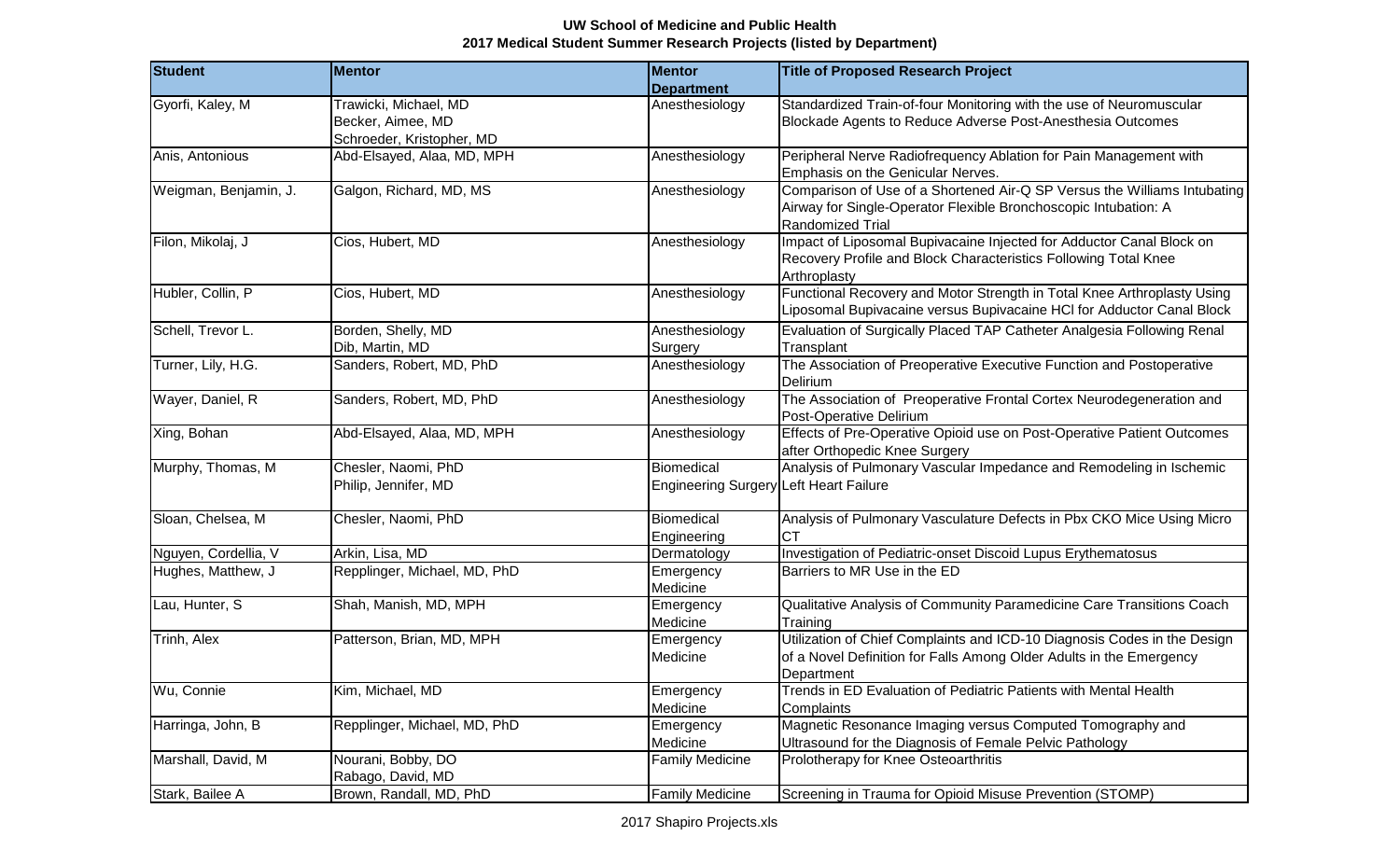| <b>Student</b>        | Mentor                       | <b>Mentor</b>                                 | <b>Title of Proposed Research Project</b>                                |
|-----------------------|------------------------------|-----------------------------------------------|--------------------------------------------------------------------------|
|                       |                              | <b>Department</b>                             |                                                                          |
| Gyorfi, Kaley, M      | Trawicki, Michael, MD        | Anesthesiology                                | Standardized Train-of-four Monitoring with the use of Neuromuscular      |
|                       | Becker, Aimee, MD            |                                               | Blockade Agents to Reduce Adverse Post-Anesthesia Outcomes               |
|                       | Schroeder, Kristopher, MD    |                                               |                                                                          |
| Anis, Antonious       | Abd-Elsayed, Alaa, MD, MPH   | Anesthesiology                                | Peripheral Nerve Radiofrequency Ablation for Pain Management with        |
|                       |                              |                                               | Emphasis on the Genicular Nerves.                                        |
| Weigman, Benjamin, J. | Galgon, Richard, MD, MS      | Anesthesiology                                | Comparison of Use of a Shortened Air-Q SP Versus the Williams Intubating |
|                       |                              |                                               | Airway for Single-Operator Flexible Bronchoscopic Intubation: A          |
|                       |                              |                                               | Randomized Trial                                                         |
| Filon, Mikolaj, J     | Cios, Hubert, MD             | Anesthesiology                                | Impact of Liposomal Bupivacaine Injected for Adductor Canal Block on     |
|                       |                              |                                               | Recovery Profile and Block Characteristics Following Total Knee          |
|                       |                              |                                               | Arthroplasty                                                             |
| Hubler, Collin, P     | Cios, Hubert, MD             | Anesthesiology                                | Functional Recovery and Motor Strength in Total Knee Arthroplasty Using  |
|                       |                              |                                               | Liposomal Bupivacaine versus Bupivacaine HCI for Adductor Canal Block    |
| Schell, Trevor L.     | Borden, Shelly, MD           | Anesthesiology                                | Evaluation of Surgically Placed TAP Catheter Analgesia Following Renal   |
|                       | Dib, Martin, MD              | Surgery                                       | Transplant                                                               |
| Turner, Lily, H.G.    | Sanders, Robert, MD, PhD     | Anesthesiology                                | The Association of Preoperative Executive Function and Postoperative     |
|                       |                              |                                               | Delirium                                                                 |
| Wayer, Daniel, R      | Sanders, Robert, MD, PhD     | Anesthesiology                                | The Association of Preoperative Frontal Cortex Neurodegeneration and     |
|                       |                              |                                               | Post-Operative Delirium                                                  |
| Xing, Bohan           | Abd-Elsayed, Alaa, MD, MPH   | Anesthesiology                                | Effects of Pre-Operative Opioid use on Post-Operative Patient Outcomes   |
|                       |                              |                                               | after Orthopedic Knee Surgery                                            |
| Murphy, Thomas, M     | Chesler, Naomi, PhD          | <b>Biomedical</b>                             | Analysis of Pulmonary Vascular Impedance and Remodeling in Ischemic      |
|                       | Philip, Jennifer, MD         | <b>Engineering Surgery Left Heart Failure</b> |                                                                          |
| Sloan, Chelsea, M     | Chesler, Naomi, PhD          | Biomedical                                    | Analysis of Pulmonary Vasculature Defects in Pbx CKO Mice Using Micro    |
|                       |                              | Engineering                                   | <b>CT</b>                                                                |
| Nguyen, Cordellia, V  | Arkin, Lisa, MD              | Dermatology                                   | Investigation of Pediatric-onset Discoid Lupus Erythematosus             |
| Hughes, Matthew, J    | Repplinger, Michael, MD, PhD | Emergency                                     | Barriers to MR Use in the ED                                             |
|                       |                              | Medicine                                      |                                                                          |
| Lau, Hunter, S        | Shah, Manish, MD, MPH        | Emergency                                     | Qualitative Analysis of Community Paramedicine Care Transitions Coach    |
|                       |                              | Medicine                                      | Training                                                                 |
| Trinh, Alex           | Patterson, Brian, MD, MPH    | Emergency                                     | Utilization of Chief Complaints and ICD-10 Diagnosis Codes in the Design |
|                       |                              | Medicine                                      | of a Novel Definition for Falls Among Older Adults in the Emergency      |
|                       |                              |                                               | Department                                                               |
| Wu, Connie            | Kim, Michael, MD             | Emergency                                     | Trends in ED Evaluation of Pediatric Patients with Mental Health         |
|                       |                              | Medicine                                      | Complaints                                                               |
| Harringa, John, B     | Repplinger, Michael, MD, PhD | Emergency                                     | Magnetic Resonance Imaging versus Computed Tomography and                |
|                       |                              | Medicine                                      | Ultrasound for the Diagnosis of Female Pelvic Pathology                  |
| Marshall, David, M    | Nourani, Bobby, DO           | <b>Family Medicine</b>                        | Prolotherapy for Knee Osteoarthritis                                     |
|                       | Rabago, David, MD            |                                               |                                                                          |
| Stark, Bailee A       | Brown, Randall, MD, PhD      | Family Medicine                               | Screening in Trauma for Opioid Misuse Prevention (STOMP)                 |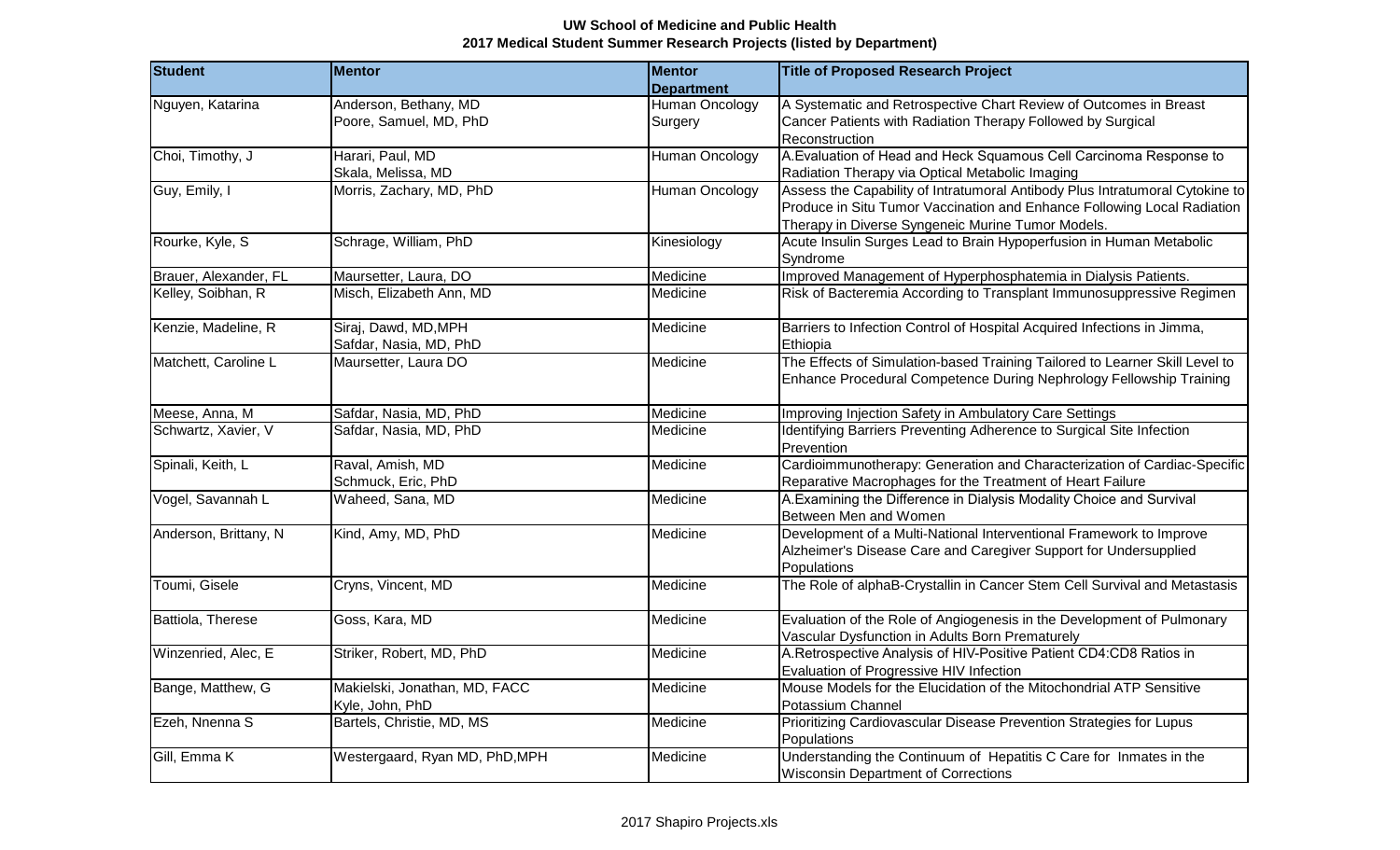| <b>Student</b>        | <b>Mentor</b>                  | <b>Mentor</b>         | <b>Title of Proposed Research Project</b>                                          |
|-----------------------|--------------------------------|-----------------------|------------------------------------------------------------------------------------|
|                       |                                | <b>Department</b>     |                                                                                    |
| Nguyen, Katarina      | Anderson, Bethany, MD          | <b>Human Oncology</b> | A Systematic and Retrospective Chart Review of Outcomes in Breast                  |
|                       | Poore, Samuel, MD, PhD         | Surgery               | Cancer Patients with Radiation Therapy Followed by Surgical                        |
|                       |                                |                       | Reconstruction                                                                     |
| Choi, Timothy, J      | Harari, Paul, MD               | Human Oncology        | A. Evaluation of Head and Heck Squamous Cell Carcinoma Response to                 |
|                       | Skala, Melissa, MD             |                       | Radiation Therapy via Optical Metabolic Imaging                                    |
| Guy, Emily, I         | Morris, Zachary, MD, PhD       | Human Oncology        | Assess the Capability of Intratumoral Antibody Plus Intratumoral Cytokine to       |
|                       |                                |                       | Produce in Situ Tumor Vaccination and Enhance Following Local Radiation            |
|                       |                                |                       | Therapy in Diverse Syngeneic Murine Tumor Models.                                  |
| Rourke, Kyle, S       | Schrage, William, PhD          | Kinesiology           | Acute Insulin Surges Lead to Brain Hypoperfusion in Human Metabolic                |
|                       |                                |                       | Syndrome                                                                           |
| Brauer, Alexander, FL | Maursetter, Laura, DO          | Medicine              | Improved Management of Hyperphosphatemia in Dialysis Patients.                     |
| Kelley, Soibhan, R    | Misch, Elizabeth Ann, MD       | Medicine              | Risk of Bacteremia According to Transplant Immunosuppressive Regimen               |
| Kenzie, Madeline, R   | Siraj, Dawd, MD, MPH           | Medicine              | Barriers to Infection Control of Hospital Acquired Infections in Jimma,            |
|                       | Safdar, Nasia, MD, PhD         |                       | Ethiopia                                                                           |
| Matchett, Caroline L  | Maursetter, Laura DO           | Medicine              | The Effects of Simulation-based Training Tailored to Learner Skill Level to        |
|                       |                                |                       | Enhance Procedural Competence During Nephrology Fellowship Training                |
| Meese, Anna, M        | Safdar, Nasia, MD, PhD         | Medicine              | Improving Injection Safety in Ambulatory Care Settings                             |
| Schwartz, Xavier, V   | Safdar, Nasia, MD, PhD         | Medicine              | Identifying Barriers Preventing Adherence to Surgical Site Infection<br>Prevention |
| Spinali, Keith, L     | Raval, Amish, MD               | Medicine              | Cardioimmunotherapy: Generation and Characterization of Cardiac-Specific           |
|                       | Schmuck, Eric, PhD             |                       | Reparative Macrophages for the Treatment of Heart Failure                          |
| Vogel, Savannah L     | Waheed, Sana, MD               | Medicine              | A. Examining the Difference in Dialysis Modality Choice and Survival               |
|                       |                                |                       | Between Men and Women                                                              |
| Anderson, Brittany, N | Kind, Amy, MD, PhD             | Medicine              | Development of a Multi-National Interventional Framework to Improve                |
|                       |                                |                       | Alzheimer's Disease Care and Caregiver Support for Undersupplied                   |
|                       |                                |                       | Populations                                                                        |
| Toumi, Gisele         | Cryns, Vincent, MD             | Medicine              | The Role of alphaB-Crystallin in Cancer Stem Cell Survival and Metastasis          |
| Battiola, Therese     | Goss, Kara, MD                 | Medicine              | Evaluation of the Role of Angiogenesis in the Development of Pulmonary             |
|                       |                                |                       | Vascular Dysfunction in Adults Born Prematurely                                    |
| Winzenried, Alec, E   | Striker, Robert, MD, PhD       | Medicine              | A. Retrospective Analysis of HIV-Positive Patient CD4:CD8 Ratios in                |
|                       |                                |                       | Evaluation of Progressive HIV Infection                                            |
| Bange, Matthew, G     | Makielski, Jonathan, MD, FACC  | Medicine              | Mouse Models for the Elucidation of the Mitochondrial ATP Sensitive                |
|                       | Kyle, John, PhD                |                       | Potassium Channel                                                                  |
| Ezeh, Nnenna S        | Bartels, Christie, MD, MS      | Medicine              | Prioritizing Cardiovascular Disease Prevention Strategies for Lupus                |
|                       |                                |                       | Populations                                                                        |
| Gill, Emma K          | Westergaard, Ryan MD, PhD, MPH | Medicine              | Understanding the Continuum of Hepatitis C Care for Inmates in the                 |
|                       |                                |                       | <b>Wisconsin Department of Corrections</b>                                         |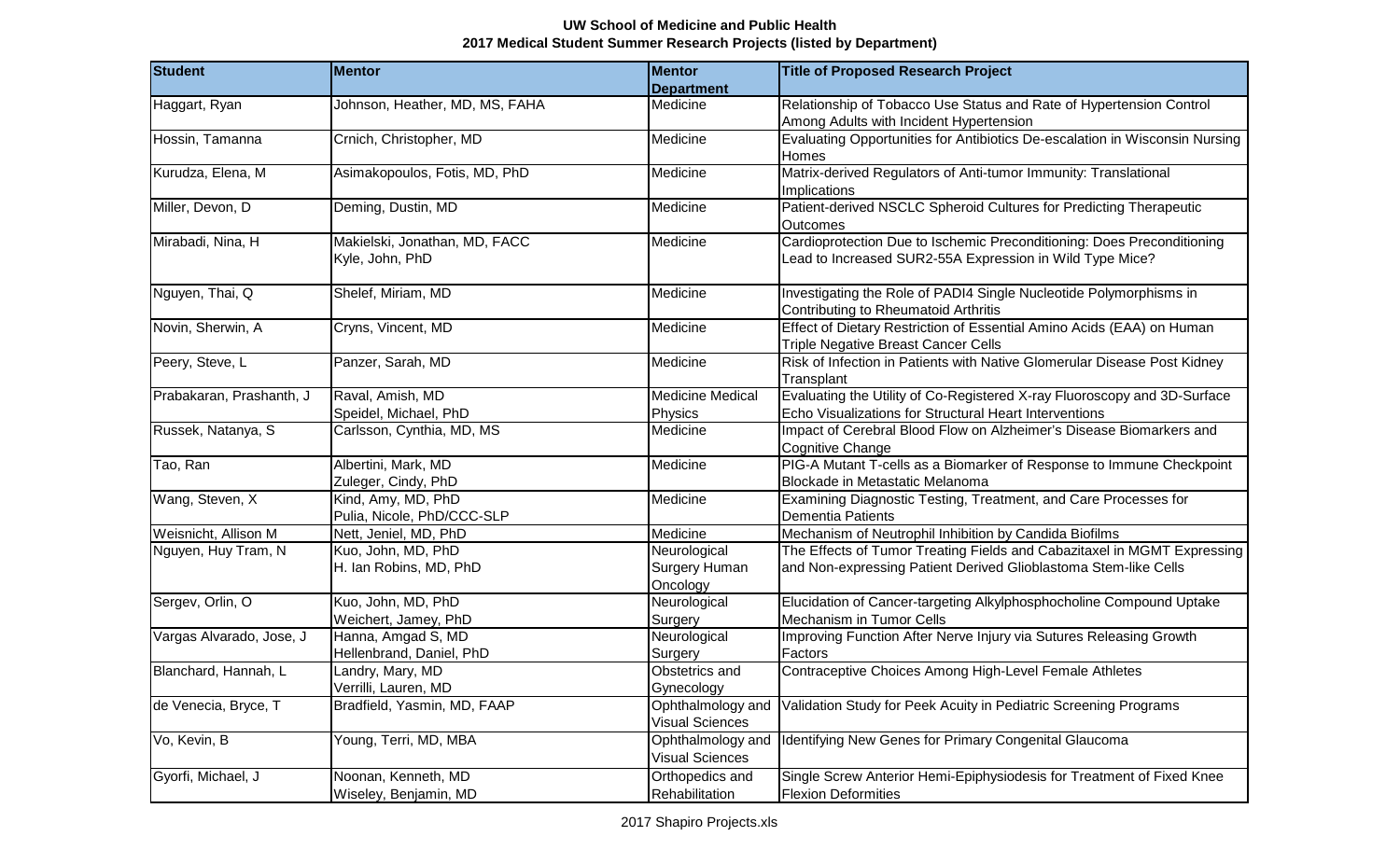| <b>Student</b>           | <b>Mentor</b>                  | <b>Mentor</b>           | <b>Title of Proposed Research Project</b>                                   |
|--------------------------|--------------------------------|-------------------------|-----------------------------------------------------------------------------|
|                          |                                | <b>Department</b>       |                                                                             |
| Haggart, Ryan            | Johnson, Heather, MD, MS, FAHA | Medicine                | Relationship of Tobacco Use Status and Rate of Hypertension Control         |
|                          |                                |                         | Among Adults with Incident Hypertension                                     |
| Hossin, Tamanna          | Crnich, Christopher, MD        | Medicine                | Evaluating Opportunities for Antibiotics De-escalation in Wisconsin Nursing |
|                          |                                |                         | Homes                                                                       |
| Kurudza, Elena, M        | Asimakopoulos, Fotis, MD, PhD  | Medicine                | Matrix-derived Regulators of Anti-tumor Immunity: Translational             |
|                          |                                |                         | Implications                                                                |
| Miller, Devon, D         | Deming, Dustin, MD             | Medicine                | Patient-derived NSCLC Spheroid Cultures for Predicting Therapeutic          |
|                          |                                |                         | Outcomes                                                                    |
| Mirabadi, Nina, H        | Makielski, Jonathan, MD, FACC  | Medicine                | Cardioprotection Due to Ischemic Preconditioning: Does Preconditioning      |
|                          | Kyle, John, PhD                |                         | Lead to Increased SUR2-55A Expression in Wild Type Mice?                    |
|                          |                                |                         |                                                                             |
| Nguyen, Thai, Q          | Shelef, Miriam, MD             | Medicine                | Investigating the Role of PADI4 Single Nucleotide Polymorphisms in          |
|                          |                                |                         | Contributing to Rheumatoid Arthritis                                        |
| Novin, Sherwin, A        | Cryns, Vincent, MD             | Medicine                | Effect of Dietary Restriction of Essential Amino Acids (EAA) on Human       |
|                          |                                |                         | <b>Triple Negative Breast Cancer Cells</b>                                  |
| Peery, Steve, L          | Panzer, Sarah, MD              | Medicine                | Risk of Infection in Patients with Native Glomerular Disease Post Kidney    |
|                          |                                |                         | Transplant                                                                  |
| Prabakaran, Prashanth, J | Raval, Amish, MD               | <b>Medicine Medical</b> | Evaluating the Utility of Co-Registered X-ray Fluoroscopy and 3D-Surface    |
|                          | Speidel, Michael, PhD          | Physics                 | Echo Visualizations for Structural Heart Interventions                      |
| Russek, Natanya, S       | Carlsson, Cynthia, MD, MS      | Medicine                | Impact of Cerebral Blood Flow on Alzheimer's Disease Biomarkers and         |
|                          |                                |                         | Cognitive Change                                                            |
| Tao, Ran                 | Albertini, Mark, MD            | Medicine                | PIG-A Mutant T-cells as a Biomarker of Response to Immune Checkpoint        |
|                          | Zuleger, Cindy, PhD            |                         | Blockade in Metastatic Melanoma                                             |
| Wang, Steven, X          | Kind, Amy, MD, PhD             | Medicine                | Examining Diagnostic Testing, Treatment, and Care Processes for             |
|                          | Pulia, Nicole, PhD/CCC-SLP     |                         | <b>Dementia Patients</b>                                                    |
| Weisnicht, Allison M     | Nett, Jeniel, MD, PhD          | Medicine                | Mechanism of Neutrophil Inhibition by Candida Biofilms                      |
| Nguyen, Huy Tram, N      | Kuo, John, MD, PhD             | Neurological            | The Effects of Tumor Treating Fields and Cabazitaxel in MGMT Expressing     |
|                          | H. Ian Robins, MD, PhD         | Surgery Human           | and Non-expressing Patient Derived Glioblastoma Stem-like Cells             |
|                          |                                | Oncology                |                                                                             |
| Sergev, Orlin, O         | Kuo, John, MD, PhD             | Neurological            | Elucidation of Cancer-targeting Alkylphosphocholine Compound Uptake         |
|                          | Weichert, Jamey, PhD           | Surgery                 | Mechanism in Tumor Cells                                                    |
| Vargas Alvarado, Jose, J | Hanna, Amgad S, MD             | Neurological            | Improving Function After Nerve Injury via Sutures Releasing Growth          |
|                          | Hellenbrand, Daniel, PhD       | Surgery                 | Factors                                                                     |
| Blanchard, Hannah, L     | Landry, Mary, MD               | Obstetrics and          | Contraceptive Choices Among High-Level Female Athletes                      |
|                          | Verrilli, Lauren, MD           | Gynecology              |                                                                             |
| de Venecia, Bryce, T     | Bradfield, Yasmin, MD, FAAP    | Ophthalmology and       | Validation Study for Peek Acuity in Pediatric Screening Programs            |
|                          |                                | <b>Visual Sciences</b>  |                                                                             |
| Vo, Kevin, B             | Young, Terri, MD, MBA          | Ophthalmology and       | Identifying New Genes for Primary Congenital Glaucoma                       |
|                          |                                | <b>Visual Sciences</b>  |                                                                             |
| Gyorfi, Michael, J       | Noonan, Kenneth, MD            | Orthopedics and         | Single Screw Anterior Hemi-Epiphysiodesis for Treatment of Fixed Knee       |
|                          | Wiseley, Benjamin, MD          | Rehabilitation          | <b>Flexion Deformities</b>                                                  |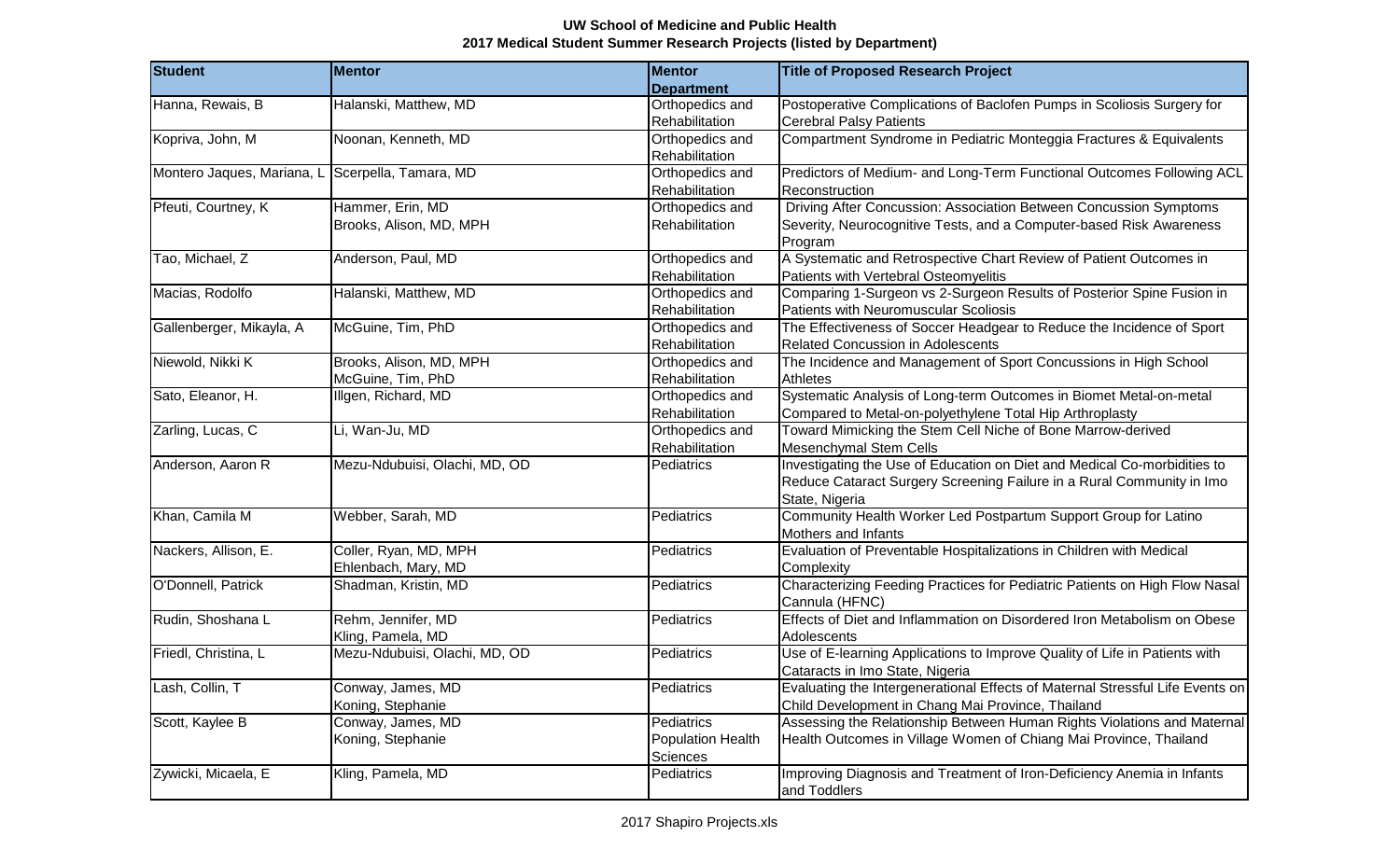| <b>Student</b>                                   | <b>Mentor</b>                 | <b>Mentor</b>            | <b>Title of Proposed Research Project</b>                                      |
|--------------------------------------------------|-------------------------------|--------------------------|--------------------------------------------------------------------------------|
|                                                  |                               | <b>Department</b>        |                                                                                |
| Hanna, Rewais, B                                 | Halanski, Matthew, MD         | Orthopedics and          | Postoperative Complications of Baclofen Pumps in Scoliosis Surgery for         |
|                                                  |                               | Rehabilitation           | <b>Cerebral Palsy Patients</b>                                                 |
| Kopriva, John, M                                 | Noonan, Kenneth, MD           | Orthopedics and          | Compartment Syndrome in Pediatric Monteggia Fractures & Equivalents            |
|                                                  |                               | Rehabilitation           |                                                                                |
| Montero Jaques, Mariana, L Scerpella, Tamara, MD |                               | Orthopedics and          | Predictors of Medium- and Long-Term Functional Outcomes Following ACL          |
|                                                  |                               | Rehabilitation           | Reconstruction                                                                 |
| Pfeuti, Courtney, K                              | Hammer, Erin, MD              | Orthopedics and          | Driving After Concussion: Association Between Concussion Symptoms              |
|                                                  | Brooks, Alison, MD, MPH       | Rehabilitation           | Severity, Neurocognitive Tests, and a Computer-based Risk Awareness<br>Program |
| Tao, Michael, Z                                  | Anderson, Paul, MD            | Orthopedics and          | A Systematic and Retrospective Chart Review of Patient Outcomes in             |
|                                                  |                               | Rehabilitation           | Patients with Vertebral Osteomyelitis                                          |
| Macias, Rodolfo                                  | Halanski, Matthew, MD         | Orthopedics and          | Comparing 1-Surgeon vs 2-Surgeon Results of Posterior Spine Fusion in          |
|                                                  |                               | Rehabilitation           | Patients with Neuromuscular Scoliosis                                          |
| Gallenberger, Mikayla, A                         | McGuine, Tim, PhD             | Orthopedics and          | The Effectiveness of Soccer Headgear to Reduce the Incidence of Sport          |
|                                                  |                               | Rehabilitation           | <b>Related Concussion in Adolescents</b>                                       |
| Niewold, Nikki K                                 | Brooks, Alison, MD, MPH       | Orthopedics and          | The Incidence and Management of Sport Concussions in High School               |
|                                                  | McGuine, Tim, PhD             | Rehabilitation           | Athletes                                                                       |
| Sato, Eleanor, H.                                | Illgen, Richard, MD           | Orthopedics and          | Systematic Analysis of Long-term Outcomes in Biomet Metal-on-metal             |
|                                                  |                               | Rehabilitation           | Compared to Metal-on-polyethylene Total Hip Arthroplasty                       |
| Zarling, Lucas, C                                | Li, Wan-Ju, MD                | Orthopedics and          | Toward Mimicking the Stem Cell Niche of Bone Marrow-derived                    |
|                                                  |                               | Rehabilitation           | <b>Mesenchymal Stem Cells</b>                                                  |
| Anderson, Aaron R                                | Mezu-Ndubuisi, Olachi, MD, OD | Pediatrics               | Investigating the Use of Education on Diet and Medical Co-morbidities to       |
|                                                  |                               |                          | Reduce Cataract Surgery Screening Failure in a Rural Community in Imo          |
|                                                  |                               |                          | State, Nigeria                                                                 |
| Khan, Camila M                                   | Webber, Sarah, MD             | Pediatrics               | Community Health Worker Led Postpartum Support Group for Latino                |
|                                                  |                               |                          | Mothers and Infants                                                            |
| Nackers, Allison, E.                             | Coller, Ryan, MD, MPH         | Pediatrics               | Evaluation of Preventable Hospitalizations in Children with Medical            |
|                                                  | Ehlenbach, Mary, MD           |                          | Complexity                                                                     |
| O'Donnell, Patrick                               | Shadman, Kristin, MD          | Pediatrics               | Characterizing Feeding Practices for Pediatric Patients on High Flow Nasal     |
|                                                  |                               |                          | Cannula (HFNC)                                                                 |
| Rudin, Shoshana L                                | Rehm, Jennifer, MD            | Pediatrics               | Effects of Diet and Inflammation on Disordered Iron Metabolism on Obese        |
|                                                  | Kling, Pamela, MD             |                          | Adolescents                                                                    |
| Friedl, Christina, L                             | Mezu-Ndubuisi, Olachi, MD, OD | Pediatrics               | Use of E-learning Applications to Improve Quality of Life in Patients with     |
|                                                  |                               |                          | Cataracts in Imo State, Nigeria                                                |
| Lash, Collin, T                                  | Conway, James, MD             | Pediatrics               | Evaluating the Intergenerational Effects of Maternal Stressful Life Events on  |
|                                                  | Koning, Stephanie             |                          | Child Development in Chang Mai Province, Thailand                              |
| Scott, Kaylee B                                  | Conway, James, MD             | Pediatrics               | Assessing the Relationship Between Human Rights Violations and Maternal        |
|                                                  | Koning, Stephanie             | <b>Population Health</b> | Health Outcomes in Village Women of Chiang Mai Province, Thailand              |
|                                                  |                               | <b>Sciences</b>          |                                                                                |
| Zywicki, Micaela, E                              | Kling, Pamela, MD             | Pediatrics               | Improving Diagnosis and Treatment of Iron-Deficiency Anemia in Infants         |
|                                                  |                               |                          | and Toddlers                                                                   |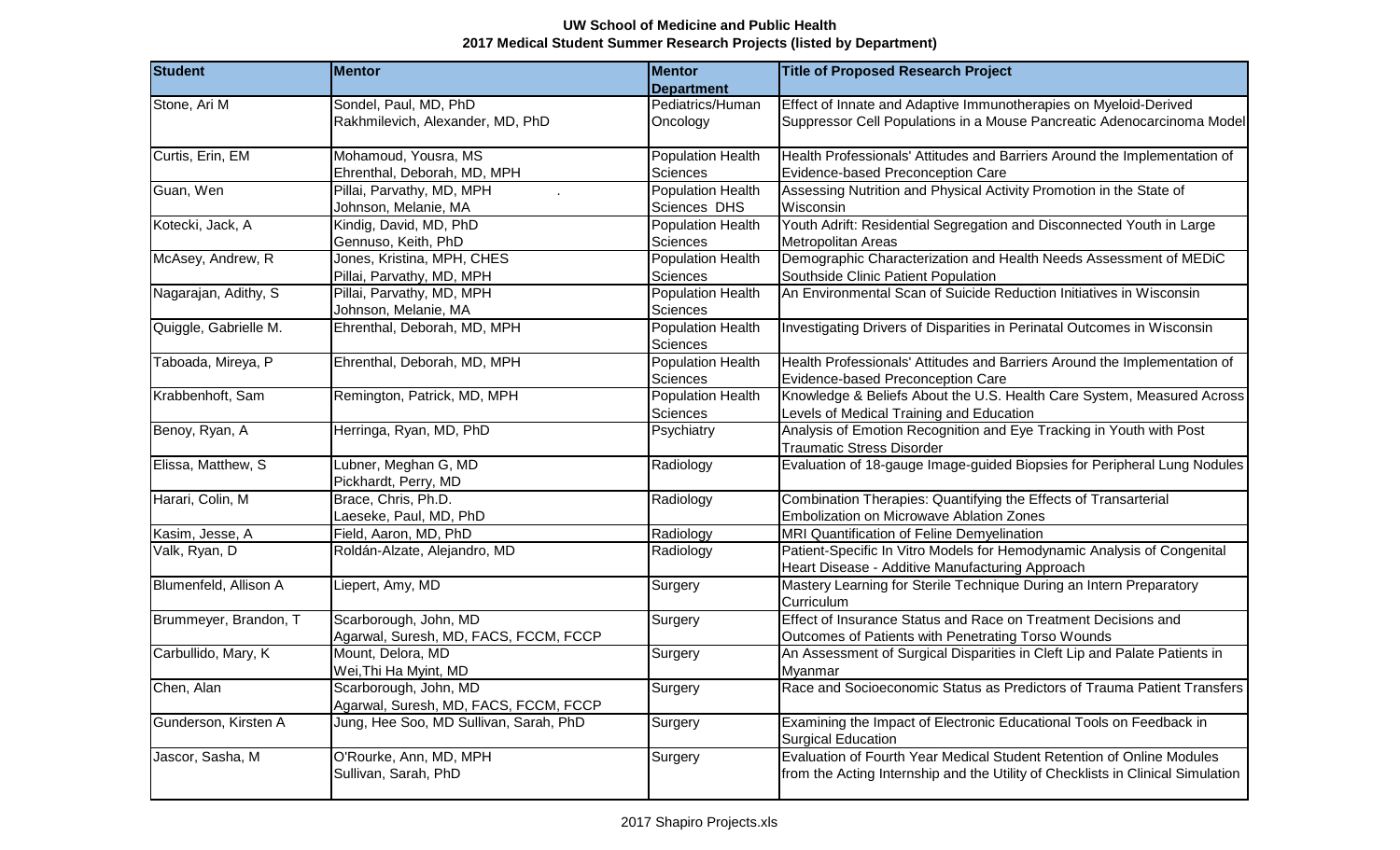| <b>Student</b>        | Mentor                                 | Mentor                   | <b>Title of Proposed Research Project</b>                                       |
|-----------------------|----------------------------------------|--------------------------|---------------------------------------------------------------------------------|
|                       |                                        | <b>Department</b>        |                                                                                 |
| Stone, Ari M          | Sondel, Paul, MD, PhD                  | Pediatrics/Human         | Effect of Innate and Adaptive Immunotherapies on Myeloid-Derived                |
|                       | Rakhmilevich, Alexander, MD, PhD       | Oncology                 | Suppressor Cell Populations in a Mouse Pancreatic Adenocarcinoma Model          |
| Curtis, Erin, EM      | Mohamoud, Yousra, MS                   | <b>Population Health</b> | Health Professionals' Attitudes and Barriers Around the Implementation of       |
|                       | Ehrenthal, Deborah, MD, MPH            | <b>Sciences</b>          | Evidence-based Preconception Care                                               |
| Guan, Wen             | Pillai, Parvathy, MD, MPH              | <b>Population Health</b> | Assessing Nutrition and Physical Activity Promotion in the State of             |
|                       | Johnson, Melanie, MA                   | Sciences DHS             | Wisconsin                                                                       |
| Kotecki, Jack, A      | Kindig, David, MD, PhD                 | <b>Population Health</b> | Youth Adrift: Residential Segregation and Disconnected Youth in Large           |
|                       | Gennuso, Keith, PhD                    | <b>Sciences</b>          | <b>Metropolitan Areas</b>                                                       |
| McAsey, Andrew, R     | Jones, Kristina, MPH, CHES             | Population Health        | Demographic Characterization and Health Needs Assessment of MEDiC               |
|                       | Pillai, Parvathy, MD, MPH              | <b>Sciences</b>          | Southside Clinic Patient Population                                             |
| Nagarajan, Adithy, S  | Pillai, Parvathy, MD, MPH              | <b>Population Health</b> | An Environmental Scan of Suicide Reduction Initiatives in Wisconsin             |
|                       | Johnson, Melanie, MA                   | <b>Sciences</b>          |                                                                                 |
| Quiggle, Gabrielle M. | Ehrenthal, Deborah, MD, MPH            | <b>Population Health</b> | Investigating Drivers of Disparities in Perinatal Outcomes in Wisconsin         |
|                       |                                        | <b>Sciences</b>          |                                                                                 |
| Taboada, Mireya, P    | Ehrenthal, Deborah, MD, MPH            | <b>Population Health</b> | Health Professionals' Attitudes and Barriers Around the Implementation of       |
|                       |                                        | <b>Sciences</b>          | Evidence-based Preconception Care                                               |
| Krabbenhoft, Sam      | Remington, Patrick, MD, MPH            | Population Health        | Knowledge & Beliefs About the U.S. Health Care System, Measured Across          |
|                       |                                        | <b>Sciences</b>          | Levels of Medical Training and Education                                        |
| Benoy, Ryan, A        | Herringa, Ryan, MD, PhD                | Psychiatry               | Analysis of Emotion Recognition and Eye Tracking in Youth with Post             |
|                       |                                        |                          | <b>Traumatic Stress Disorder</b>                                                |
| Elissa, Matthew, S    | Lubner, Meghan G, MD                   | Radiology                | Evaluation of 18-gauge Image-guided Biopsies for Peripheral Lung Nodules        |
|                       | Pickhardt, Perry, MD                   |                          |                                                                                 |
| Harari, Colin, M      | Brace, Chris, Ph.D.                    | Radiology                | Combination Therapies: Quantifying the Effects of Transarterial                 |
|                       | Laeseke, Paul, MD, PhD                 |                          | <b>Embolization on Microwave Ablation Zones</b>                                 |
| Kasim, Jesse, A       | Field, Aaron, MD, PhD                  | Radiology                | MRI Quantification of Feline Demyelination                                      |
| Valk, Ryan, D         | Roldán-Alzate, Alejandro, MD           | Radiology                | Patient-Specific In Vitro Models for Hemodynamic Analysis of Congenital         |
|                       |                                        |                          | Heart Disease - Additive Manufacturing Approach                                 |
| Blumenfeld, Allison A | Liepert, Amy, MD                       | Surgery                  | Mastery Learning for Sterile Technique During an Intern Preparatory             |
|                       |                                        |                          | Curriculum                                                                      |
| Brummeyer, Brandon, T | Scarborough, John, MD                  | Surgery                  | Effect of Insurance Status and Race on Treatment Decisions and                  |
|                       | Agarwal, Suresh, MD, FACS, FCCM, FCCP  |                          | Outcomes of Patients with Penetrating Torso Wounds                              |
| Carbullido, Mary, K   | Mount, Delora, MD                      | Surgery                  | An Assessment of Surgical Disparities in Cleft Lip and Palate Patients in       |
|                       | Wei, Thi Ha Myint, MD                  |                          | Myanmar                                                                         |
| Chen, Alan            | Scarborough, John, MD                  | Surgery                  | Race and Socioeconomic Status as Predictors of Trauma Patient Transfers         |
|                       | Agarwal, Suresh, MD, FACS, FCCM, FCCP  |                          |                                                                                 |
| Gunderson, Kirsten A  | Jung, Hee Soo, MD Sullivan, Sarah, PhD | Surgery                  | Examining the Impact of Electronic Educational Tools on Feedback in             |
|                       |                                        |                          | <b>Surgical Education</b>                                                       |
| Jascor, Sasha, M      | O'Rourke, Ann, MD, MPH                 | Surgery                  | Evaluation of Fourth Year Medical Student Retention of Online Modules           |
|                       | Sullivan, Sarah, PhD                   |                          | from the Acting Internship and the Utility of Checklists in Clinical Simulation |
|                       |                                        |                          |                                                                                 |